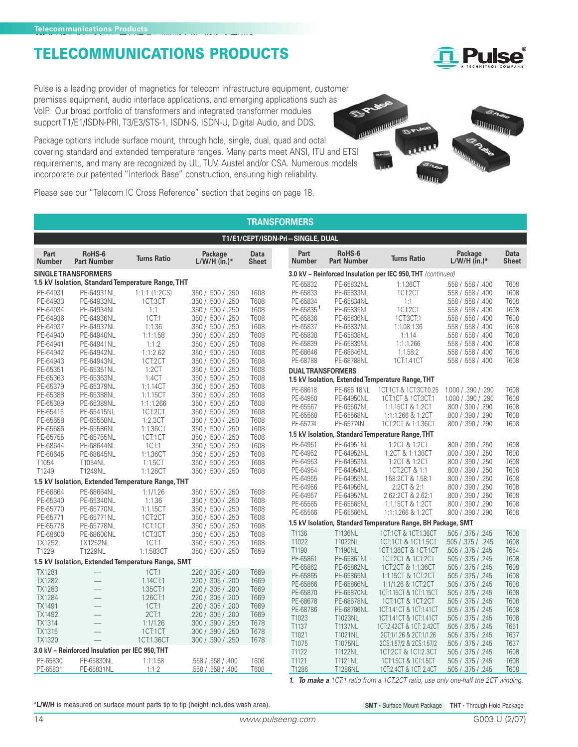Pulse is a leading provider of magnetics for telecom infrastructure equipment, customer premises equipment, audio interface applications, and emerging applications such as VoIP. Our broad portfolio of transformers and integrated transformer modules support T1/E1/ISDN-PRI, T3/E3/STS-1, ISDN-S, ISDN-U, Digital Audio, and DDS.

Package options include surface mount, through hole, single, dual, quad and octal covering standard and extended temperature ranges. Many parts meet ANSI, ITU and ETSI requirements, and many are recognized by UL, TUV, Austel and/or CSA. Numerous models incorporate our patented "Interlock Base" construction, ensuring high reliability.



**Pulse** 

Please see our "Telecom IC Cross Reference" section that begins on page 18.

|                       | <b>TRANSFORMERS</b>                             |                                                   |                                          |                             |                          |                              |                                                               |                           |                      |  |  |  |
|-----------------------|-------------------------------------------------|---------------------------------------------------|------------------------------------------|-----------------------------|--------------------------|------------------------------|---------------------------------------------------------------|---------------------------|----------------------|--|--|--|
|                       | T1/E1/CEPT/ISDN-Pri-SINGLE, DUAL                |                                                   |                                          |                             |                          |                              |                                                               |                           |                      |  |  |  |
| Part<br><b>Number</b> | RoHS-6<br><b>Part Number</b>                    | <b>Turns Ratio</b>                                | Package<br>$L/W/H$ (in.)*                | <b>Data</b><br><b>Sheet</b> | Part<br><b>Number</b>    | RoHS-6<br><b>Part Number</b> | <b>Turns Ratio</b>                                            | Package<br>$L/W/H$ (in.)* | <b>Data</b><br>Sheet |  |  |  |
|                       | <b>SINGLE TRANSFORMERS</b>                      |                                                   |                                          |                             |                          |                              | 3.0 kV - Reinforced Insulation per IEC 950, THT (continued)   |                           |                      |  |  |  |
|                       |                                                 | 1.5 kV Isolation, Standard Temperature Range, THT |                                          |                             | PE-65832                 | PE-65832NL                   | 1:1.36CT                                                      | .558 / .558 / .400        | T608                 |  |  |  |
| PE-64931              | PE-64931NL                                      | $1:1:1$ $(1:2CS)$                                 | .350 / .500 / .250                       | T608                        | PE-65833                 | PE-65833NL                   | 1CT:2CT                                                       | .558 / .558 / .400        | T608                 |  |  |  |
| PE-64933              | PE-64933NL                                      | 1CT:3CT                                           | .350 / .500 / .250                       | T608                        | PE-65834                 | PE-65834NL                   | 1:1                                                           | .558 / .558 / .400        | T608                 |  |  |  |
| PE-64934              | PE-64934NL                                      | 1:1                                               | .350 / .500 / .250                       | T608                        | PE-65835 <sup>1</sup>    | PE-65835NL                   | 1CT:2CT                                                       | .558 / .558 / .400        | T608                 |  |  |  |
| PE-64936              | PE-64936NL                                      | 1CT:1                                             | .350 / .500 / .250                       | T608                        | PE-65836                 | PE-65836NL                   | 1CT:3CT:1                                                     | .558 / .558 / .400        | T608                 |  |  |  |
| PE-64937              | PE-64937NL                                      | 1:1.36                                            | .350 / .500 / .250                       | T608                        | PE-65837                 | PE-65837NL                   | 1:1.08:1.36                                                   | .558 / .558 / .400        | T608                 |  |  |  |
| PE-64940              | PE-64940NL                                      | 1:1:1.58                                          | .350 / .500 / .250                       | T608                        | PE-65838                 | PE-65838NL                   | 1:1.14                                                        | .558 / .558 / .400        | T608                 |  |  |  |
| PE-64941              | PE-64941NL                                      | 1:1:2                                             | .350 / .500 / .250                       | T608                        | PE-65839                 | PE-65839NL                   | 1:1:1.266                                                     | .558 / .558 / .400        | T608                 |  |  |  |
| PE-64942              | PE-64942NL                                      | 1:1:2.62                                          | .350 / .500 / .250                       | T608                        | PE-68646                 | PE-68646NL                   | 1:1.58:2                                                      | .558 / .558 / .400        | T608                 |  |  |  |
| PE-64943              | PE-64943NL                                      | 1CT:2CT                                           | .350 / .500 / .250                       | T608                        | PE-68788                 | PE-68788NL                   | 1CT:1.41CT                                                    | .558 / .558 / .400        | T608                 |  |  |  |
| PE-65351              | PE-65351NL                                      | 1:2CT                                             | .350 / .500 / .250                       | T608                        | <b>DUAL TRANSFORMERS</b> |                              |                                                               |                           |                      |  |  |  |
| PE-65363              | PE-65363NL                                      | 1:4CT                                             | .350 / .500 / .250                       | T608                        |                          |                              | 1.5 kV Isolation, Extended Temperature Range, THT             |                           |                      |  |  |  |
| PE-65379              | PE-65379NL                                      | 1:1.14CT                                          | .350 / .500 / .250                       | T608                        | PE-68618                 | PE-686 18NL                  | 1CT:1CT & 1CT:3CT:0.25                                        | 1.000 / .390 / .290       | T608                 |  |  |  |
| PE-65388              | PE-65388NL                                      | 1:1.15CT                                          | .350 / .500 / .250                       | T608                        | PE-64950                 | PE-64950NL                   | 1CT:1CT & 1CT:3CT:1                                           | 1.000 / .390 / .290       | T608                 |  |  |  |
| PE-65389              | PE-65389NL                                      | 1:1:1.266                                         | .350 / .500 / .250                       | T608                        | PE-65567                 | PE-65567NL                   | 1:1.15CT & 1:2CT                                              | .800 / .390 / .290        | T608                 |  |  |  |
| PE-65415              | PE-65415NL                                      | 1CT:2CT                                           | .350 / .500 / .250                       | T608                        | PE-65568                 | PE-65568NL                   | 1:1:1.266 & 1:2CT                                             | .800 / .390 / .290        | T608                 |  |  |  |
| PE-65558              | PE-65558NL                                      | 1:2.3CT                                           | .350 / .500 / .250                       | T608                        | PE-65774                 | PE-65774NL                   | 1CT:2CT & 1:1.36CT                                            | .800 / .390 / .290        | T608                 |  |  |  |
| PE-65586              | PE-65586NL                                      | 1:1.36CT                                          | .350 / .500 / .250                       | T608                        |                          |                              | 1.5 kV Isolation, Standard Temperature Range, THT             |                           |                      |  |  |  |
| PE-65755              | PE-65755NL                                      | 1CT:1CT                                           | .350 / .500 / .250                       | T608                        | PE-64951                 | PE-64951NL                   | 1:2CT & 1:2CT                                                 | .800 / .390 / .250        | T608                 |  |  |  |
| PE-68644              | PE-68644NL                                      | 1CT:1                                             | .350 / .500 / .250                       | T608                        | PE-64952                 | PE-64952NL                   | 1:2CT & 1:1.36CT                                              | .800 / .390 / .250        | T608                 |  |  |  |
| PE-68645<br>T1054     | PE-68645NL                                      | 1:1.36CT<br>1:1.5CT                               | .350 / .500 / .250                       | T608<br>T608                | PE-64953                 | PE-64953NL                   | 1:2CT & 1:2CT                                                 | .800 / .390 / .250        | T608                 |  |  |  |
| T1249                 | T1054NL<br>T1249NL                              | 1:1.26CT                                          | .350 / .500 / .250<br>.350 / .500 / .250 | T608                        | PE-64954                 | PE-64954NL                   | 1CT:2CT & 1:1                                                 | .800 / .390 / .250        | T608                 |  |  |  |
|                       |                                                 |                                                   |                                          |                             | PE-64955                 | PE-64955NL                   | 1.58:2CT & 1.58:1                                             | .800 / .390 / .250        | T608                 |  |  |  |
|                       |                                                 | 1.5 kV Isolation, Extended Temperature Range, THT |                                          |                             | PE-64956                 | PE-64956NL                   | 2:2CT & 2:1                                                   | .800 / .390 / .250        | T608                 |  |  |  |
| PE-68664              | PE-68664NL                                      | 1:1/1.26                                          | .350 / .500 / .250                       | T608                        | PE-64957                 | PE-64957NL                   | 2.62:2CT & 2.62:1                                             | .800 / .390 / .250        | T608                 |  |  |  |
| PE-65340              | PE-65340NL                                      | 1:1.36                                            | .350 / .500 / .250                       | T608                        | PE-65565                 | PE-65565NL                   | 1:1.15CT & 1:2CT                                              | .800 / .390 / .290        | T608                 |  |  |  |
| PE-65770              | PE-65770NL                                      | 1:1.15CT                                          | .350 / .500 / .250                       | T608                        | PE-65566                 | PE-65566NL                   | 1:1:1.266 & 1:2CT                                             | .800 / .390 / .290        | T608                 |  |  |  |
| PE-65771              | PE-65771NL                                      | 1CT:2CT                                           | .350 / .500 / .250                       | T608                        |                          |                              | 1.5 kV Isolation, Standard Temperature Range, BH Package, SMT |                           |                      |  |  |  |
| PE-65778              | PE-65778NL                                      | 1CT:1CT                                           | .350 / .500 / .250                       | T608                        | T1136                    | <b>T1136NL</b>               | 1CT:1CT & 1CT:1.36CT                                          | .505 / .375 / .245        | <b>T608</b>          |  |  |  |
| PE-68600              | PE-68600NL                                      | 1CT:3CT                                           | .350 / .500 / .250                       | T608                        | T1022                    | T1022NL                      | 1CT:1CT & 1CT:1.5CT                                           | .505 / .375 / .245        | T608                 |  |  |  |
| TX1252                | <b>TX1252NL</b>                                 | 1CT:1                                             | .350 / .500 / .250                       | T608                        | T1190                    | <b>T1190NL</b>               | 1CT:1.36CT & 1CT:1CT                                          | .505 / .375 / .245        | T654                 |  |  |  |
| T1229                 | T1229NL                                         | 1:1.583CT                                         | .350 / .500 / .250                       | T659                        | PE-65861                 | PE-65861NL                   | 1CT:2CT & 1CT:2CT                                             | .505 / .375 / .245        | T608                 |  |  |  |
|                       |                                                 | 1.5 kV Isolation, Extended Temperature Range, SMT |                                          |                             | PE-65862                 | PE-65862NL                   | 1CT:2CT & 1:1.36CT                                            | .505 / .375 / .245        | T608                 |  |  |  |
| <b>TX1281</b>         |                                                 | 1CT:1                                             | .220 / .305 / .200                       | T669                        | PE-65865                 | PE-65865NL                   | 1:1.15CT & 1CT:2CT                                            | .505 / .375 / .245        | T608                 |  |  |  |
| <b>TX1282</b>         |                                                 | 1.14CT:1                                          | .220 / .305 / .200                       | T669                        | PE-65866                 | PE-65866NL                   | 1:1/1.26 & 1CT:2CT                                            | .505 / .375 / .245        | T608                 |  |  |  |
| <b>TX1283</b>         |                                                 | 1.35CT:1                                          | .220 / .305 / .200                       | T669                        | PE-65870                 | PE-65870NL                   | 1CT:1.15CT & 1CT:1.15CT                                       | .505 / .375 / .245        | T608                 |  |  |  |
| <b>TX1284</b>         |                                                 | 1.26CT:1                                          | .220 / .305 / .200                       | T669                        | PE-68678                 | PE-68678NL                   | 1CT:1CT & 1CT:2CT                                             | .505 / .375 / .245        | T608                 |  |  |  |
| TX1491                | $\frac{1}{1}$                                   | 1CT:1                                             | .220 / .305 / .200                       | T669                        | PE-68786                 | PE-68786NL                   | 1CT:1.41CT & 1CT:1.41CT                                       | .505 / .375 / .245        | T608                 |  |  |  |
| TX1492                |                                                 | 2CT:1                                             | .220 / .305 / .200                       | T669                        | T <sub>1023</sub>        | T1023NL                      | 1 CT: 1.41 CT & 1 CT: 1.41 CT                                 | .505 / .375 / .245        | T608                 |  |  |  |
| TX1314                | $\overline{\phantom{0}}$                        | 1:1/1.26                                          | .300 / .390 / .250                       | T678                        | T1137                    | T1137NL                      | 1CT:2.42CT & 1CT: 2.42CT                                      | .505 / .375 / .245        | T651                 |  |  |  |
| TX1315                | $\overline{\phantom{0}}$                        | 1CT:1CT                                           | .300 / .390 / .250                       | T678                        | T1021                    | T1021NL                      | 2CT:1/1.26 & 2CT:1/1.26                                       | .505 / .375 / .245        | T637                 |  |  |  |
| TX1320                |                                                 | 1CT:1.36CT                                        | .300 / .390 / .250                       | T678                        | T1075                    | T1075NL                      | 2CS:1.57/2 & 2CS:1.57/2                                       | .505 / .375 / .245        | T637                 |  |  |  |
|                       | 3.0 kV - Reinforced Insulation per IEC 950, THT |                                                   |                                          |                             | T1122                    | T1122NL                      | 1CT:2CT & 1CT:2.3CT                                           | .505 / .375 / .245        | T608                 |  |  |  |
| PE-65830              | PE-65830NL                                      | 1:1:1.58                                          | .558 / .558 / .400                       | T608                        | T1121                    | <b>T1121NL</b>               | 1CT:1.5CT & 1CT:1.5CT                                         | .505 / .375 / .245        | T608                 |  |  |  |
| PE-65831              | PE-65831NL                                      | 1:1:2                                             | .558 / .558 / .400                       | T608                        | T1286                    | T1286NL                      | 1CT:2.4CT & 1CT: 2.4CT                                        | .505 / .375 / .245        | T608                 |  |  |  |

**1. To make a** 1CT:1 ratio from a 1CT:2CT ratio, use only one-half the 2CT winding.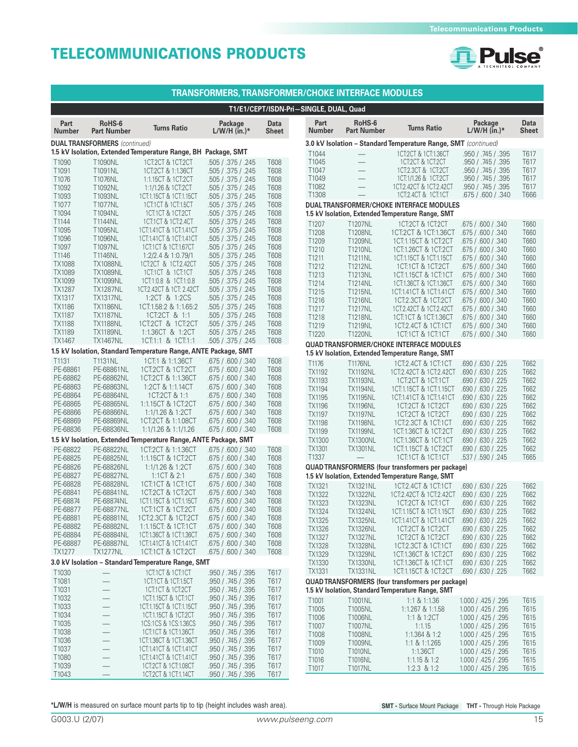

|                                |                                        |                                                                 | <b>TRANSFORMERS, TRANSFORMER/CHOKE INTERFACE MODULES</b> |                      |                                        |                                                      |                                                                |                                            |               |
|--------------------------------|----------------------------------------|-----------------------------------------------------------------|----------------------------------------------------------|----------------------|----------------------------------------|------------------------------------------------------|----------------------------------------------------------------|--------------------------------------------|---------------|
|                                |                                        |                                                                 |                                                          |                      | T1/E1/CEPT/ISDN-Pri-SINGLE, DUAL, Quad |                                                      |                                                                |                                            |               |
| Part<br><b>Number</b>          | RoHS-6<br><b>Part Number</b>           | <b>Turns Ratio</b>                                              | Package<br>$L/W/H$ (in.)*                                | Data<br><b>Sheet</b> | Part<br><b>Number</b>                  | RoHS-6<br><b>Part Number</b>                         | <b>Turns Ratio</b>                                             | Package<br>$L/W/H$ (in.)*                  | Data<br>Sheet |
|                                | <b>DUAL TRANSFORMERS</b> (continued)   |                                                                 |                                                          |                      |                                        |                                                      | 3.0 kV Isolation - Standard Temperature Range, SMT (continued) |                                            |               |
|                                |                                        | 1.5 kV Isolation, Extended Temperature Range, BH Package, SMT   |                                                          |                      | T1044                                  | $\overline{\phantom{0}}$                             | 1CT:2CT & 1CT:1.36CT                                           | .950 / .745 / .395                         | T617          |
| T1090                          | T1090NL                                | 1CT:2CT & 1CT:2CT                                               | .505 / .375 / .245                                       | T608                 | T1045                                  | $\qquad \qquad -$                                    | 1CT:2CT & 1CT:2CT                                              | .950 / .745 / .395                         | T617          |
| T1091<br>T1076                 | T1091NL<br>T1076NL                     | 1CT:2CT & 1:1.36CT<br>1:1.15CT & 1CT:2CT                        | .505 / .375 / .245<br>.505 / .375 / .245                 | T608<br>T608         | T1047<br>T1049                         | $\overline{\phantom{0}}$<br>$\overline{\phantom{0}}$ | 1CT:2.3CT & 1CT:2CT<br>1CT:1/1.26 & 1CT:2CT                    | .950 / .745 / .395<br>.950 / .745 / .395   | T617<br>T617  |
| T1092                          | T1092NL                                | 1:1/1.26 & 1CT:2CT                                              | .505 / .375 / .245                                       | T608                 | T1082                                  |                                                      | 1CT:2.42CT & 1CT:2.42CT                                        | .950 / .745 / .395                         | T617          |
| T1093                          | T1093NL                                | 1CT:1.15CT & 1CT:1.15CT                                         | .505 / .375 / .245                                       | T608                 | T1308                                  |                                                      | 1 CT: 2.4 CT & 1 CT: 1 CT                                      | .675 / .600 / .340                         | T666          |
| T1077                          | T1077NL                                | 1 CT:1 CT & 1 CT:1.5 CT                                         | .505 / .375 / .245                                       | T608                 |                                        |                                                      | <b>DUAL TRANSFORMER/CHOKE INTERFACE MODULES</b>                |                                            |               |
| T1094                          | T1094NL                                | 1 CT:1 CT & 1 CT:2 CT                                           | .505 / .375 / .245                                       | T608                 |                                        |                                                      | 1.5 kV Isolation, Extended Temperature Range, SMT              |                                            |               |
| T1144                          | T1144NL                                | 1CT:1CT & 1CT:2.4CT                                             | .505 / .375 / .245                                       | T608                 | T1207                                  | T1207NL                                              | 1CT:2CT & 1CT:2CT                                              | .675 / .600 / .340                         | T660          |
| T1095<br>T1096                 | T1095NL<br>T1096NL                     | 1CT:1.41CT & 1CT:1.41CT<br>1CT:1.41CT & 1CT:1.41CT              | .505 / .375 / .245<br>.505 / .375 / .245                 | T608<br>T608         | T1208                                  | T1208NL                                              | 1 CT:2 CT & 1 CT:1.3 6 CT                                      | .675 / .600 / .340                         | T660          |
| T1097                          | T1097NL                                | 1CT:1CT & 1CT:1.67CT                                            | .505 / .375 / .245                                       | T608                 | T1209                                  | T1209NL                                              | 1CT:1.15CT & 1CT:2CT                                           | .675 / .600 / .340                         | T660          |
| T1146                          | T1146NL                                | $1:2/2.4$ & $1:0.79/1$                                          | .505 / .375 / .245                                       | T608                 | T1210<br>T1211                         | T1210NL<br>T1211NL                                   | 1 CT: 1.26 CT & 1 CT: 2 CT<br>1 CT:1.15 CT & 1 CT:1.15 CT      | .675 / .600 / .340<br>.675 / .600 / .340   | T660<br>T660  |
| <b>TX1088</b>                  | <b>TX1088NL</b>                        | 1CT:2CT & 1CT:2.42CT                                            | .505 / .375 / .245                                       | T608                 | T1212                                  | T1212NL                                              | 1CT:1CT & 1CT:2CT                                              | .675 / .600 / .340                         | T660          |
| TX1089                         | <b>TX1089NL</b>                        | 1CT:1CT & 1CT:1CT                                               | .505 / .375 / .245                                       | T608                 | T1213                                  | T1213NL                                              | 1CT:1.15CT & 1CT:1CT                                           | .675 / .600 / .340                         | T660          |
| TX1099                         | <b>TX1099NL</b>                        | 1CT:1:0.8 & 1CT:1:0.8                                           | .505 / .375 / .245                                       | T608                 | T1214                                  | T1214NL                                              | 1CT:1.36CT & 1CT:1.36CT                                        | .675 / .600 / .340                         | T660          |
| <b>TX1287</b>                  | <b>TX1287NL</b>                        | 1CT:2.42CT & 1CT: 2.42CT                                        | .505 / .375 / .245                                       | T608                 | T1215                                  | T1215NL                                              | 1 CT: 1.41 CT & 1 CT: 1.41 CT                                  | .675 / .600 / .340                         | T660          |
| <b>TX1317</b><br><b>TX1186</b> | <b>TX1317NL</b><br><b>TX1186NL</b>     | 1:2CT & 1:2CS<br>1CT:1.58:2 & 1:1.65:2                          | .505 / .375 / .245<br>.505 / .375 / .245                 | T608<br>T608         | T1216                                  | T1216NL                                              | 1CT:2.3CT & 1CT:2CT                                            | .675 / .600 / .340                         | T660          |
| <b>TX1187</b>                  | <b>TX1187NL</b>                        | 1 CT:2 CT & 1:1                                                 | .505 / .375 / .245                                       | T608                 | T1217                                  | T1217NL                                              | 1CT:2.42CT & 1CT:2.42CT                                        | .675 / .600 / .340                         | T660          |
| <b>TX1188</b>                  | <b>TX1188NL</b>                        | 1CT:2CT & 1CT:2CT                                               | .505 / .375 / .245                                       | T608                 | T1218<br>T1219                         | T1218NL<br>T1219NL                                   | 1 CT:1 CT & 1 CT:1.36 CT<br>1CT:2.4CT & 1CT:1CT                | .675 / .600 / .340                         | T660<br>T660  |
| <b>TX1189</b>                  | <b>TX1189NL</b>                        | 1:1.36CT & 1:2CT                                                | .505 / .375 / .245                                       | T608                 | T1220                                  | T1220NL                                              | 1CT:1CT & 1CT:1CT                                              | .675 / .600 / .340<br>.675 / .600 / .340   | T660          |
| TX1467                         | <b>TX1467NL</b>                        | 1CT:1:1 & 1CT:1:1                                               | .505 / .375 / .245                                       | T608                 |                                        |                                                      | QUAD TRANSFORMER/CHOKE INTERFACE MODULES                       |                                            |               |
|                                |                                        | 1.5 kV Isolation, Standard Temperature Range, ANTE Package, SMT |                                                          |                      |                                        |                                                      | 1.5 kV Isolation, Extended Temperature Range, SMT              |                                            |               |
| T1131                          | T1131NL                                | 1CT:1 & 1:1.36CT                                                | .675 / .600 / .340                                       | T608                 | T1176                                  | <b>T1176NL</b>                                       | 1CT:2.4CT & 1CT:1CT                                            | .690 / .630 / .225                         | T662          |
| PE-68861                       | PE-68861NL                             | 1CT:2CT & 1CT:2CT                                               | .675 / .600 / .340                                       | T608                 | TX1192                                 | <b>TX1192NL</b>                                      | 1CT:2.42CT & 1CT:2.42CT                                        | .690 / .630 / .225                         | T662          |
| PE-68862<br>PE-68863           | PE-68862NL<br>PE-68863NL               | 1CT:2CT & 1:1.36CT                                              | .675 / .600 / .340                                       | T608                 | TX1193                                 | <b>TX1193NL</b>                                      | 1CT:2CT & 1CT:1CT                                              | .690 / .630 / .225                         | T662          |
| PE-68864                       | PE-68864NL                             | 1:2CT & 1:1.14CT<br>1CT:2CT & 1:1                               | .675 / .600 / .340<br>.675 / .600 / .340                 | T608<br><b>T608</b>  | <b>TX1194</b>                          | <b>TX1194NL</b>                                      | 1CT:1.15CT & 1CT:1.15CT                                        | .690 / .630 / .225                         | T662          |
| PE-68865                       | PE-68865NL                             | 1:1.15CT & 1CT:2CT                                              | .675 / .600 / .340                                       | T608                 | TX1195                                 | <b>TX1195NL</b>                                      | 1 CT: 1.41 CT & 1 CT: 1.41 CT                                  | .690 / .630 / .225                         | T662          |
| PE-68866                       | PE-68866NL                             | 1:1/1.26 & 1:2CT                                                | .675 / .600 / .340                                       | <b>T608</b>          | TX1196<br>TX1197                       | <b>TX1196NL</b><br><b>TX1197NL</b>                   | 1 CT:2 CT & 1 CT:2 CT<br>1 CT:2 CT & 1 CT:2 CT                 | .690 / .630 / .225<br>.690 / .630 / .225   | T662<br>T662  |
| PE-68869                       | PE-68869NL                             | 1CT:2CT & 1:1.08CT                                              | .675 / .600 / .340                                       | T608                 | <b>TX1198</b>                          | <b>TX1198NL</b>                                      | 1CT:2.3CT & 1CT:1CT                                            | .690 / .630 / .225                         | T662          |
| PE-68836                       | PE-68836NL                             | 1:1/1.26 & 1:1/1.26                                             | .675 / .600 / .340                                       | T608                 | TX1199                                 | <b>TX1199NL</b>                                      | 1 CT:1.36 CT & 1 CT:2 CT                                       | .690 / .630 / .225                         | T662          |
|                                |                                        | 1.5 kV Isolation, Extended Temperature Range, ANTE Package, SMT |                                                          |                      | TX1300                                 | <b>TX1300NL</b>                                      | 1 CT:1.36 CT & 1 CT:1 CT                                       | .690 / .630 / .225                         | T662          |
| PE-68822                       | PE-68822NL                             | 1CT:2CT & 1:1.36CT                                              | .675 / .600 / .340                                       | T608                 | TX1301                                 | <b>TX1301NL</b>                                      | 1CT:1.15CT & 1CT:2CT                                           | .690 / .630 / .225                         | T662          |
| PE-68825                       | PE-68825NL                             | 1:1.15CT & 1CT:2CT                                              | .675 / .600 / .340                                       | T608                 | T1337                                  |                                                      | 1 CT:1 CT & 1 CT:1 CT                                          | .537 / .590 / .245                         | T665          |
| PE-68826                       | PE-68826NL                             | 1:1/1.26 & 1:2CT                                                | .675 / .600 / .340                                       | T608                 |                                        |                                                      | <b>QUAD TRANSFORMERS (four transformers per package)</b>       |                                            |               |
| PE-68827<br>PE-68828           | PE-68827NL<br>PE-68828NL               | 1:1CT & 2:1<br>1CT:1CT & 1CT:1CT                                | .675 / .600 / .340<br>.675 / .600 / .340                 | T608<br>T608         |                                        |                                                      | 1.5 kV Isolation, Extended Temperature Range, SMT              |                                            |               |
| PE-68841                       | PE-68841NL                             | 1CT:2CT & 1CT:2CT                                               | .675 / .600 / .340                                       | T608                 | <b>TX1321</b>                          | <b>TX1321NL</b>                                      | 1CT:2.4CT & 1CT:1CT                                            | .690 / .630 / .225                         | T662          |
| PE-68874                       | PE-68874NL                             | 1CT:1.15CT & 1CT:1.15CT                                         | .675 / .600 / .340                                       | T608                 | <b>TX1322</b><br>TX1323                | <b>TX1322NL</b><br><b>TX1323NL</b>                   | 1CT:2.42CT & 1CT:2.42CT<br>1 CT: 2 CT: 8 1 CT: 1 CT            | .690 / .630 / .225<br>.690 / .630 / .225   | T662<br>T662  |
| PE-68877                       | <b>PE-68877NL</b>                      | 1CT1CT & 1CT2CT                                                 | .675 / .600 / .340                                       | T608                 | TX1324                                 | <b>TX1324NL</b>                                      | 1CT:1.15CT & 1CT:1.15CT .690 / .630 / .225                     |                                            | T662          |
| PE-68881                       | PE-68881NL                             | 1CT:2.3CT & 1CT:2CT                                             | .675 / .600 / .340                                       | T608                 | TX1325                                 | <b>TX1325NL</b>                                      | 1CT:1.41CT & 1CT:1.41CT .690 / .630 / .225                     |                                            | T662          |
| PE-68882                       | PE-68882NL                             | 1:1.15CT: & 1CT:1CT                                             | .675 / .600 / .340                                       | T608                 | TX1326                                 | <b>TX1326NL</b>                                      | 1CT:2CT & 1CT:2CT                                              | .690 / .630 / .225                         | T662          |
| PE-68884                       | PE-68884NL                             | 1CT:1.36CT & 1CT:1.36CT                                         | .675 / .600 / .340                                       | T608                 | <b>TX1327</b>                          | <b>TX1327NL</b>                                      | 1 CT:2 CT & 1 CT:2 CT                                          | .690 / .630 / .225                         | T662          |
| PE-68887<br>TX1277             | PE-68887NL<br><b>TX1277NL</b>          | 1 CT: 1.41 CT & 1 CT: 1.41 CT<br>1CT:1CT & 1CT:2CT              | .675 / .600 / .340<br>.675 / .600 / .340                 | T608<br>T608         | <b>TX1328</b>                          | <b>TX1328NL</b>                                      | 1CT:2.3CT & 1CT:1CT                                            | .690 / .630 / .225                         | T662          |
|                                |                                        | 3.0 kV Isolation - Standard Temperature Range, SMT              |                                                          |                      | TX1329<br>TX1330                       | <b>TX1329NL</b>                                      | 1CT:1.36CT & 1CT:2CT                                           | .690 / .630 / .225<br>.690 / .630 / .225   | T662          |
| T1030                          |                                        | 1CT:1CT & 1CT:1CT                                               | .950 / .745 / .395                                       | T617                 | TX1331                                 | <b>TX1330NL</b><br><b>TX1331NL</b>                   | 1 CT:1.36 CT & 1 CT:1 CT<br>1CT:1.15CT & 1CT:2CT               | .690 / .630 / .225                         | T662<br>T662  |
| T1081                          | $\qquad \qquad -$                      | 1CT:1CT & 1CT:1.5CT                                             | .950 / .745 / .395                                       | T617                 |                                        |                                                      | <b>QUAD TRANSFORMERS (four transformers per package)</b>       |                                            |               |
| T1031                          | $\qquad \qquad -$                      | 1 CT:1 CT & 1 CT:2 CT                                           | .950 / .745 / .395                                       | T617                 |                                        |                                                      | 1.5 kV Isolation, Standard Temperature Range, SMT              |                                            |               |
| T1032                          | $\qquad \qquad -$                      | 1CT:1.15CT & 1CT:1CT                                            | .950 / .745 / .395                                       | T617                 | T1001                                  | T1001NL                                              | $1:1 \& 1:1.36$                                                | 1.000 / .425 / .295                        | T615          |
| T1033                          | $\qquad \qquad -$                      | 1 CT: 1.15 CT & 1 CT: 1.15 CT                                   | .950 / .745 / .395                                       | T617                 | T1005                                  | T1005NL                                              | 1:1.267 & 1:1.58                                               | 1.000 / .425 / .295                        | T615          |
| T1034                          | $\qquad \qquad -$                      | 1CT:1.15CT & 1CT:2CT                                            | .950 / .745 / .395                                       | T617                 | T1006                                  | T1006NL                                              | 1:1 $& 1:2CT$                                                  | 1.000 / .425 / .295                        | T615          |
| T1035                          | $\qquad \qquad -$                      | 1CS:1CS & 1CS:1.36CS                                            | .950 / .745 / .395                                       | T617                 | T1007                                  | T1007NL                                              | 1:1.15                                                         | 1.000 / .425 / .295                        | T615          |
| T1038<br>T1036                 | $\qquad \qquad -$<br>$\qquad \qquad -$ | 1CT:1CT & 1CT:1.36CT<br>1CT:1.36CT & 1CT:1.36CT                 | .950 / .745 / .395<br>.950 / .745 / .395                 | T617<br>T617         | T1008                                  | T1008NL                                              | 1:1.364 & 1:2                                                  | 1.000 / .425 / .295                        | T615          |
| T1037                          | $\qquad \qquad -$                      | 1CT:1.41CT & 1CT:1.41CT                                         | .950 / .745 / .395                                       | T617                 | T1009                                  | T1009NL                                              | $1:1 \& 1:1.265$                                               | 1.000 / .425 / .295                        | T615          |
| T1080                          | $\qquad \qquad -$                      | 1CT:1.41CT & 1CT:1.41CT                                         | .950 / .745 / .395                                       | T617                 | T1010<br>T1016                         | T1010NL<br>T1016NL                                   | 1:1.36CT<br>$1:1.15$ & 1:2                                     | 1.000 / .425 / .295<br>1.000 / .425 / .295 | T615<br>T615  |
| T1039                          | $\qquad \qquad -$                      | 1CT:2CT & 1CT:1.08CT                                            | .950 / .745 / .395                                       | T617                 | T1017                                  | T1017NL                                              | $1:2.3$ & 1:2                                                  | 1.000 / .425 / .295                        | T615          |
| T1043                          | $\overline{\phantom{0}}$               | 1CT:2CT & 1CT:1.14CT                                            | .950 / .745 / .395                                       | T617                 |                                        |                                                      |                                                                |                                            |               |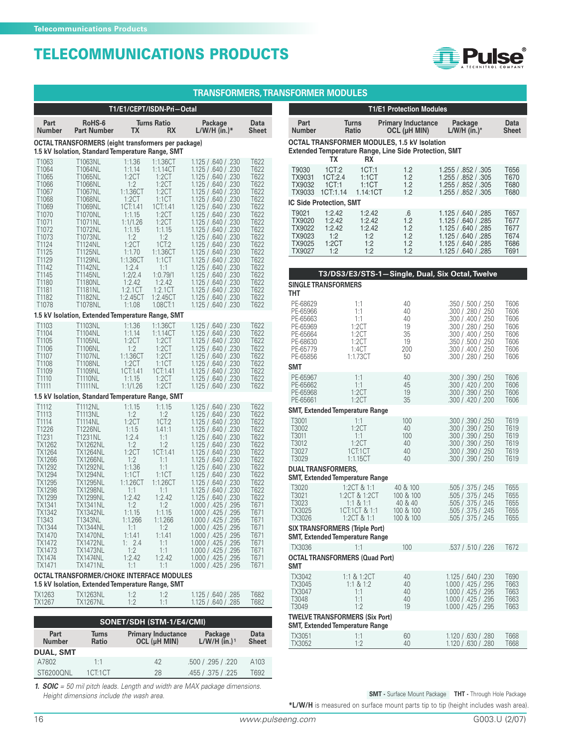

#### **TRANSFORMERS,TRANSFORMER MODULES**

|                                                                                                                                                                                                                    |                                                                                                                                                                                                                                                                                                                                                    | T1/E1/CEPT/ISDN-Pri-Octal                                                                                                                                                                                                                                                                                                                                                                                                                   |                                                                                                                                                                                                                                                                                                                                                                                                                                                                                                                      |                                                                                                                                                                              |
|--------------------------------------------------------------------------------------------------------------------------------------------------------------------------------------------------------------------|----------------------------------------------------------------------------------------------------------------------------------------------------------------------------------------------------------------------------------------------------------------------------------------------------------------------------------------------------|---------------------------------------------------------------------------------------------------------------------------------------------------------------------------------------------------------------------------------------------------------------------------------------------------------------------------------------------------------------------------------------------------------------------------------------------|----------------------------------------------------------------------------------------------------------------------------------------------------------------------------------------------------------------------------------------------------------------------------------------------------------------------------------------------------------------------------------------------------------------------------------------------------------------------------------------------------------------------|------------------------------------------------------------------------------------------------------------------------------------------------------------------------------|
| Part<br><b>Number</b>                                                                                                                                                                                              | RoHS-6<br><b>Part Number</b>                                                                                                                                                                                                                                                                                                                       | <b>Turns Ratio</b><br>ТX<br>RX                                                                                                                                                                                                                                                                                                                                                                                                              | Package<br>$L/W/H$ (in.)*                                                                                                                                                                                                                                                                                                                                                                                                                                                                                            | Data<br>Sheet                                                                                                                                                                |
|                                                                                                                                                                                                                    |                                                                                                                                                                                                                                                                                                                                                    | OCTAL TRANSFORMERS (eight transformers per package)                                                                                                                                                                                                                                                                                                                                                                                         |                                                                                                                                                                                                                                                                                                                                                                                                                                                                                                                      |                                                                                                                                                                              |
| T <sub>1063</sub>                                                                                                                                                                                                  | T1063NL                                                                                                                                                                                                                                                                                                                                            | 1.5 kV Isolation, Standard Temperature Range, SMT<br>1:1.36<br>1:1.36CT                                                                                                                                                                                                                                                                                                                                                                     | 1.125 / 640 / 230                                                                                                                                                                                                                                                                                                                                                                                                                                                                                                    | T622                                                                                                                                                                         |
| T1064<br>T1065<br>T1066<br>T1067<br>T1068<br>T <sub>1069</sub><br>T <sub>1070</sub><br>T <sub>1071</sub><br>T <sub>1072</sub><br>T1073                                                                             | T1064NL<br>T1065NL<br>T1066NL<br>T1067NL<br>T1068NL<br>T1069NL<br>T1070NL<br>T1071NL<br>T1072NL<br>T1073NL                                                                                                                                                                                                                                         | 1:1.14<br>1:1.14CT<br>1:2CT<br>1:2CT<br>1:2CT<br>1:2<br>1:1.36CT<br>1:2CT<br>1:2CT<br>1:1CT<br>1CT:1.41<br>1CT:1.41<br>1:1.15<br>1:2CT<br>1:1/1.26<br>1:2CT<br>1:1.15<br>1:1.15<br>1:2<br>1:2                                                                                                                                                                                                                                               | 1.125 / .640 / .230<br>1.125 / .640 / .230<br>1.125 / .640 / .230<br>1.125/0.640/0.230<br>1.125 / .640 / .230<br>1.125 / .640 / .230<br>1.125 / .640 / .230<br>1.125 / .640 / .230<br>1.125 / .640 / .230<br>1.125 / .640 / .230                                                                                                                                                                                                                                                                                     | T622<br>T622<br>T622<br>T622<br>T622<br>T622<br>T622<br>T622<br>T622<br>T622                                                                                                 |
| T1124<br>T1125<br>T1129<br>T1142<br>T1145<br>T1180<br>T1181<br>T1182<br>T1078                                                                                                                                      | T1124NL<br>T1125NL<br>T1129NL<br>T1142NL<br>T1145NL<br>T1180NL<br><b>T1181NL</b><br>T1182NL<br>T1078NL                                                                                                                                                                                                                                             | 1:2CT<br>1CT:2<br>1:1.70<br>1:1.36CT<br>1:1.36CT<br>1:1CT<br>1:2.4<br>1:1<br>1:2/2.4<br>1:0.79/1<br>1:2.42<br>1:2.42<br>1:2.1CT<br>1:2.1CT<br>1:2.45CT<br>1:2.45CT<br>1:1.08<br>1.08CT:1                                                                                                                                                                                                                                                    | 1.125 / .640 / .230<br>1.125 / .640 / .230<br>1.125/0.640/0.230<br>1.125 / .640 / .230<br>1.125 / .640 / .230<br>1.125/0.640/0.230<br>1.125 / .640 / .230<br>1.125 / .640 / .230<br>1.125 / .640 / .230                                                                                                                                                                                                                                                                                                              | T622<br>T622<br>T622<br>T622<br>T622<br>T622<br>T622<br>T622<br>T622                                                                                                         |
|                                                                                                                                                                                                                    |                                                                                                                                                                                                                                                                                                                                                    | 1.5 kV Isolation, Extended Temperature Range, SMT                                                                                                                                                                                                                                                                                                                                                                                           |                                                                                                                                                                                                                                                                                                                                                                                                                                                                                                                      |                                                                                                                                                                              |
| T1103<br>T1104<br>T <sub>1105</sub><br>T1106<br>T1107<br>T1108<br>T1109<br>T1110<br>T1111                                                                                                                          | T1103NL<br>T1104NL<br>T1105NL<br>T1106NL<br>T1107NL<br><b>T1108NL</b><br>T1109NL<br><b>T1110NL</b><br><b>T1111NL</b>                                                                                                                                                                                                                               | 1:1.36<br>1:1.36CT<br>1:1.14<br>1:1.14CT<br>1:2CT<br>1:2CT<br>1:2CT<br>1:2<br>1:1.36CT<br>1:2CT<br>1:2CT<br>1:1CT<br>1CT:1.41<br>1CT:1.41<br>1:1.15<br>1:2CT<br>1:1/1.26<br>1:2CT                                                                                                                                                                                                                                                           | 1.125 / .640 / .230<br>1.125 / .640 / .230<br>1.125 / .640 / .230<br>1.125 / .640 / .230<br>1.125 / .640 / .230<br>1.125 / .640 / .230<br>1.125 / .640 / .230<br>1.125 / .640 / .230<br>1.125 / .640 / .230                                                                                                                                                                                                                                                                                                          | T622<br>T622<br>T622<br>T622<br>T622<br>T622<br>T622<br>T622<br>T622                                                                                                         |
|                                                                                                                                                                                                                    |                                                                                                                                                                                                                                                                                                                                                    | 1.5 kV Isolation, Standard Temperature Range, SMT                                                                                                                                                                                                                                                                                                                                                                                           |                                                                                                                                                                                                                                                                                                                                                                                                                                                                                                                      |                                                                                                                                                                              |
| T1112<br>T1113<br>T1114<br>T1226<br>T1231<br>TX1262<br>TX1264<br>TX1266<br>TX1292<br>TX1294<br>TX1295<br>TX1298<br>TX1299<br>TX1341<br>TX1342<br>T1343<br>TX1344<br>TX1470<br>TX1472<br>TX1473<br>TX1474<br>TX1471 | <b>T1112NL</b><br><b>T1113NL</b><br><b>T1114NL</b><br>T1226NL<br>T1231NL<br><b>TX1262NL</b><br>TX1264NL<br><b>TX1266NL</b><br><b>TX1292NL</b><br>TX1294NL<br><b>TX1295NL</b><br><b>TX1298NL</b><br>TX1299NL<br><b>TX1341NL</b><br><b>TX1342NL</b><br>T1343NL<br>TX1344NL<br><b>TX1470NL</b><br>TX1472NL<br>TX1473NL<br><b>TX1474NL</b><br>TX1471NL | 1:1.15<br>1:1.15<br>1:2<br>1:2<br>1:2CT<br>1CT:2<br>1:1.5<br>1.41:1<br>1:2.4<br>1:1<br>1:2<br>1:2<br>1:2CT<br>1CT:1.41<br>1:2<br>1:1<br>1:1.36<br>1:1<br>1:1CT<br>1:1CT<br>1:1.26CT<br>1:1.26CT<br>1:1<br>1:1<br>1:2.42<br>1:2.42<br>1:2<br>1:2<br>1:1.15<br>1:1.15<br>1:1.266<br>1:1.266<br>1:2<br>1:1<br>1:1.41<br>1:1.41<br>1: $2.4$<br>1:1<br>1:2<br>1:1<br>1:2.42<br>1:2.42<br>1:1<br>1:1<br>OCTAL TRANSFORMER/CHOKE INTERFACE MODULES | 1.125 / .640 / .230<br>1.125 / .640 / .230<br>1.125 / .640 / .230<br>1.125 / .640 / .230<br>1.125 / .640 / .230<br>1.125 / .640 / .230<br>1.125 / .640 / .230<br>1.125 / .640 / .230<br>1.125 / .640 / .230<br>1.125 / .640 / .230<br>1.125 / .640 / .230<br>1.125 / .640 / .230<br>1.125/0.640/0.230<br>1.000 / .425 / .295<br>1.000 / .425 / .295<br>1.000 / .425 / .295<br>1.000 / .425 / .295<br>1.000 / .425 / .295<br>1.000 / .425 / .295<br>1.000 / .425 / .295<br>1.000 / .425 / .295<br>1.000 / .425 / .295 | T622<br>T622<br>T622<br>T622<br>T622<br>T622<br>T622<br>T622<br>T622<br>T622<br>T622<br>T622<br>T622<br>T671<br>T671<br>T671<br>T671<br>T671<br>T671<br>T671<br>T671<br>T671 |
|                                                                                                                                                                                                                    |                                                                                                                                                                                                                                                                                                                                                    | 1.5 kV Isolation, Extended Temperature Range, SMT                                                                                                                                                                                                                                                                                                                                                                                           |                                                                                                                                                                                                                                                                                                                                                                                                                                                                                                                      |                                                                                                                                                                              |
| TX1263<br>TX1267                                                                                                                                                                                                   | <b>TX1263NL</b><br><b>TX1267NL</b>                                                                                                                                                                                                                                                                                                                 | 1:2<br>1:2<br>1:2<br>1:1                                                                                                                                                                                                                                                                                                                                                                                                                    | 1.125 / .640 / .285<br>1.125 / .640 / .285                                                                                                                                                                                                                                                                                                                                                                                                                                                                           | T682<br>T682                                                                                                                                                                 |
|                                                                                                                                                                                                                    |                                                                                                                                                                                                                                                                                                                                                    | SONET/SDH (STM-1/E4/CMI)                                                                                                                                                                                                                                                                                                                                                                                                                    |                                                                                                                                                                                                                                                                                                                                                                                                                                                                                                                      |                                                                                                                                                                              |
| Part<br>Number                                                                                                                                                                                                     | <b>Turns</b><br>Ratio                                                                                                                                                                                                                                                                                                                              | <b>Primary Inductance</b><br>OCL (µH MIN)                                                                                                                                                                                                                                                                                                                                                                                                   | Package<br>$L/W/H$ (in.) <sup>1</sup>                                                                                                                                                                                                                                                                                                                                                                                                                                                                                | Data<br>Sheet                                                                                                                                                                |
| <b>DUAL, SMT</b>                                                                                                                                                                                                   |                                                                                                                                                                                                                                                                                                                                                    |                                                                                                                                                                                                                                                                                                                                                                                                                                             |                                                                                                                                                                                                                                                                                                                                                                                                                                                                                                                      |                                                                                                                                                                              |
| A7802<br>ST6200QNL                                                                                                                                                                                                 | 1:1<br>1CT:1CT                                                                                                                                                                                                                                                                                                                                     | 42<br>28                                                                                                                                                                                                                                                                                                                                                                                                                                    | .500 / .295 / .220<br>.455 / .375 / .225                                                                                                                                                                                                                                                                                                                                                                                                                                                                             | A103<br>T692                                                                                                                                                                 |

**1. SOIC** = 50 mil pitch leads. Length and width are MAX package dimensions. Height dimensions include the wash area.

|                                                                                              |                                                                                 |                                                                                | <b>T1/E1 Protection Modules</b>                                                                                    |                                                                                                                                                                              |  |                                                              |  |  |
|----------------------------------------------------------------------------------------------|---------------------------------------------------------------------------------|--------------------------------------------------------------------------------|--------------------------------------------------------------------------------------------------------------------|------------------------------------------------------------------------------------------------------------------------------------------------------------------------------|--|--------------------------------------------------------------|--|--|
| Part<br><b>Number</b>                                                                        | Turns<br>Ratio                                                                  |                                                                                | <b>Primary Inductance</b><br>OCL (µH MIN)                                                                          | Package<br>$L/W/H$ (in.)*                                                                                                                                                    |  | Data<br><b>Sheet</b>                                         |  |  |
|                                                                                              | ТX                                                                              | RX                                                                             | <b>OCTAL TRANSFORMER MODULES, 1.5 kV Isolation</b><br><b>Extended Temperature Range, Line Side Protection, SMT</b> |                                                                                                                                                                              |  |                                                              |  |  |
| T9030<br>TX9031<br>TX9032<br>TX9033                                                          | 1CT:2<br>1CT:2.4<br>1CT:1<br>1CT:1.14<br><b>IC Side Protection, SMT</b>         | 1CT:1<br>1:1CT<br>1:1CT<br>1.14:1CT                                            | 1.2<br>1.2<br>1.2<br>1.2                                                                                           | 1.255 / .852 / .305<br>1.255 / .852 / .305<br>1.255 / .852 / .305<br>1.255 / .852 / .305                                                                                     |  | T656<br>T670<br>T680<br>T680                                 |  |  |
| T9021<br>TX9020<br>TX9022<br>TX9023<br>TX9025<br>TX9027                                      | 1:2.42<br>1:2.42<br>1:2.42<br>1:2<br>1:2CT<br>1:2                               | 1:2.42<br>1:2.42<br>1:2.42<br>1:2<br>1:2<br>1:2                                | .6<br>1.2<br>1.2<br>1.2<br>1.2<br>1.2                                                                              | 1.125 / .640 / .285<br>1.125 / .640 / .285<br>1.125 / .640 / .285<br>1.125 / .640 / .285<br>1.125 / .640 / .285<br>1.125 / .640 / .285                                       |  | T657<br>T677<br>T677<br>T674<br>T686<br>T691                 |  |  |
|                                                                                              |                                                                                 |                                                                                |                                                                                                                    |                                                                                                                                                                              |  |                                                              |  |  |
| THT                                                                                          | <b>SINGLE TRANSFORMERS</b>                                                      |                                                                                | T3/DS3/E3/STS-1-Single, Dual, Six Octal, Twelve                                                                    |                                                                                                                                                                              |  |                                                              |  |  |
| PE-68629<br>PE-65966<br>PE-65663<br>PE-65969<br>PE-65664<br>PE-68630<br>PE-65779<br>PE-65856 |                                                                                 | 1:1<br>1:1<br>1:1<br>1:2CT<br>1:2CT<br>1:2CT<br>1:4CT<br>1:1.73CT              | 40<br>40<br>40<br>19<br>35<br>19<br>200<br>50                                                                      | .350 / .500 / .250<br>.300 / .280 / .250<br>.300 / .400 / .250<br>.300 / .280 / .250<br>.300 / .400 / .250<br>.350 / .500 / .250<br>.300 / .400 / .250<br>.300 / .280 / .250 |  | T606<br>T606<br>T606<br>T606<br>T606<br>T606<br>T606<br>T606 |  |  |
| SMT                                                                                          |                                                                                 |                                                                                |                                                                                                                    |                                                                                                                                                                              |  |                                                              |  |  |
| PE-65967<br>PE-65662<br>PE-65968<br>PE-65661                                                 |                                                                                 | 1:1<br>1:1<br>1:2CT<br>1:2CT                                                   | 40<br>45<br>19<br>35                                                                                               | .300 / .390 / .250<br>.300 / .420 / .200<br>.300 / .390 / .250<br>.300 / .420 / .200                                                                                         |  | T606<br>T606<br>T606<br>T606                                 |  |  |
|                                                                                              | SMT, Extended Temperature Range                                                 |                                                                                |                                                                                                                    |                                                                                                                                                                              |  |                                                              |  |  |
| T3001<br>T3002<br>T3011<br>T3012<br>T3027<br>T3029                                           |                                                                                 | 1:1<br>1:2CT<br>1:1<br>1:2CT<br>1CT:1CT<br>1:1.15CT                            | 100<br>40<br>100<br>40<br>40<br>40                                                                                 | .300 / .390 / .250<br>.300 / .390 / .250<br>.300 / .390 / .250<br>.300 / .390 / .250<br>.300 / .390 / .250<br>.300 / .390 / .250                                             |  | T619<br>T619<br>T619<br>T619<br>T619<br>T619                 |  |  |
|                                                                                              | DUAL TRANSFORMERS,<br><b>SMT, Extended Temperature Range</b>                    |                                                                                |                                                                                                                    |                                                                                                                                                                              |  |                                                              |  |  |
| T3020<br>T3021<br>T3023<br>TX3025<br>TX3026                                                  |                                                                                 | 1:2CT & 1:1<br>1:2CT & 1:2CT<br>$1:1 \& 1:1$<br>1 CT:1 CT & 1:1<br>1:2CT & 1:1 | 40 & 100<br>100 & 100<br>40 & 40<br>100 & 100<br>100 & 100                                                         | .505 / .375 / .245<br>.505 / .375 / .245<br>.505 / .375 / .245<br>.505 / .375 / .245<br>505 / .375 / .245                                                                    |  | T655<br>T655<br>T655<br>T655<br>T655                         |  |  |
|                                                                                              | <b>SIX TRANSFORMERS (Triple Port)</b><br><b>SMT, Extended Temperature Range</b> |                                                                                |                                                                                                                    |                                                                                                                                                                              |  |                                                              |  |  |
| TX3036                                                                                       |                                                                                 | 1:1                                                                            | 100                                                                                                                | .537 / .510 / .226                                                                                                                                                           |  | T672                                                         |  |  |
| SMT                                                                                          | <b>OCTAL TRANSFORMERS (Quad Port)</b>                                           |                                                                                |                                                                                                                    |                                                                                                                                                                              |  |                                                              |  |  |
| TX3042<br>TX3045<br>TX3047<br>T3048<br>T3049                                                 |                                                                                 | 1:1 & 1:2CT<br>$1:1 \& 1:2$<br>1:1<br>1:1<br>1:2                               | 40<br>40<br>40<br>40<br>19                                                                                         | 1.125 / .640 / .230<br>1.000 / .425 / .295<br>1.000 / .425 / .295<br>1.000 / .425 / .295<br>1.000 / .425 / .295                                                              |  | T690<br>T663<br>T663<br>T663<br>T663                         |  |  |
|                                                                                              | <b>TWELVE TRANSFORMERS (Six Port)</b><br><b>SMT, Extended Temperature Range</b> |                                                                                |                                                                                                                    |                                                                                                                                                                              |  |                                                              |  |  |

**SMT -** Surface Mount Package **THT -** Through Hole Package

**\*L/W/H** is measured on surface mount parts tip to tip (height includes wash area).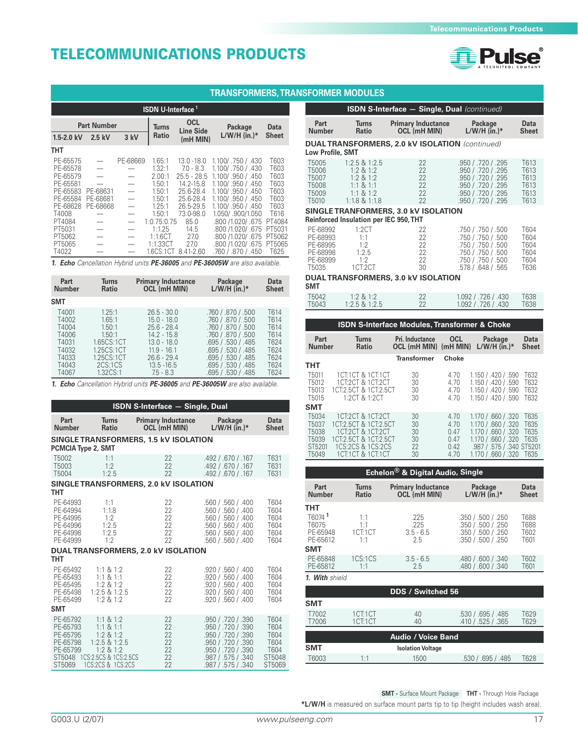

|                                                                      | <b>TRANSFORMERS, TRANSFORMER MODULES</b>                 |                                                                                         |                                                          |                                                                                      |                                                                                                                           |                                                      |                                                    |                                                                                                       |  |  |
|----------------------------------------------------------------------|----------------------------------------------------------|-----------------------------------------------------------------------------------------|----------------------------------------------------------|--------------------------------------------------------------------------------------|---------------------------------------------------------------------------------------------------------------------------|------------------------------------------------------|----------------------------------------------------|-------------------------------------------------------------------------------------------------------|--|--|
|                                                                      | <b>ISDN S-Int</b><br><b>ISDN U-Interface<sup>1</sup></b> |                                                                                         |                                                          |                                                                                      |                                                                                                                           |                                                      |                                                    |                                                                                                       |  |  |
|                                                                      | <b>Part Number</b>                                       |                                                                                         | Turns                                                    | <b>OCL</b><br><b>Line Side</b>                                                       | Package                                                                                                                   | <b>Data</b>                                          | Part<br><b>Number</b>                              | <b>Turns</b><br><b>Ratio</b>                                                                          |  |  |
| $1.5 - 2.0$ kV                                                       | $2.5$ kV                                                 | 3 kV                                                                                    | <b>Ratio</b>                                             | $(mH$ MIN $)$                                                                        | $L/W/H$ (in.)*                                                                                                            | <b>Sheet</b>                                         |                                                    | <b>DUAL TRANSFORMER</b>                                                                               |  |  |
| <b>THT</b>                                                           |                                                          |                                                                                         |                                                          |                                                                                      |                                                                                                                           |                                                      | Low Profile, SMT                                   |                                                                                                       |  |  |
| PE-65575<br>PE-65578<br>PE-65579<br>PE-65581<br>PE-65583<br>PE-65584 | PE-68631<br>PE-68681                                     | PE-68669<br>$\hspace{0.1mm}-\hspace{0.1mm}$<br>$\overbrace{\phantom{1232211}}$          | 1.65:1<br>1.32:1<br>2.00:1<br>1.50:1<br>1.50:1<br>1.50:1 | $13.0 - 18.0$<br>$7.0 - 8.3$<br>$25.5 - 28.5$<br>14.2-15.8<br>25.6-28.4<br>25.6-28.4 | 1.100/.750 / .430<br>1.100/.750 / .430<br>1.100/ .950 / .450<br>1.100/.950 / .450<br>1.100/.950 / 450<br>1.100/.950 / 450 | T603<br>T603<br>T603<br>T603<br>T603<br>T603<br>T603 | T5005<br>T5006<br>T5007<br>T5008<br>T5009<br>T5010 | $1:2.5 \& 1:2.5$<br>$1:2 \& 1:2$<br>$1:2 \& 1:2$<br>$1:1 \& 1:1$<br>$1:1 \& 1:2$<br>$1:1.8$ & $1:1.8$ |  |  |
| PE-68628<br>T4008<br>PT4084                                          | PE-68668                                                 | $\overline{\phantom{0}}$<br>$\overbrace{\phantom{1232211}}$<br>$\overline{\phantom{m}}$ | 1.25:1<br>1.50:1<br>1:0.75:0.75                          | 26.5-29.5<br>73.0-98.0<br>85.0                                                       | 1.100/.950 / 450<br>1.050/.900/1.050<br>.800 /1.020/ .675                                                                 | T616<br>PT4084                                       |                                                    | <b>SINGLE TRANFORMER</b><br><b>Reinforced Insulation per</b>                                          |  |  |
| PT5031<br>PT5062<br>PT5065                                           |                                                          | $\overline{\phantom{m}}$                                                                | 1:1.25<br>1:1.6CT<br>1:1.33CT                            | 14.5<br>27.0<br>27.0                                                                 | .800 /1.020/ .675<br>.800 /1.020/ .675<br>.800 /1.020/ .675                                                               | PT5031<br>PT5062<br>PT5065                           | PE-68992<br>PE-68993<br>PE-68995                   | 1:2CT<br>1:1<br>1:2                                                                                   |  |  |
| T4022                                                                |                                                          |                                                                                         | 1.6CS:1CT                                                | 8.41-2.60                                                                            | .760 / .870 / .450                                                                                                        | T625                                                 | PE-68998                                           | 1:2.5                                                                                                 |  |  |

**1. Echo** Cancellation Hybrid units **PE-36005** and **PE-36005W** are also available.

| Part          | Turns          | <b>Primary Inductance</b> | Package            | Data         |
|---------------|----------------|---------------------------|--------------------|--------------|
| <b>Number</b> | <b>Ratio</b>   | OCL (mH MIN)              | $L/W/H$ (in.)*     | <b>Sheet</b> |
| <b>SMT</b>    |                |                           |                    |              |
| T4001         | 1.25:1         | $26.5 - 30.0$             | .760 / .870 / .500 | T614         |
| T4002         | 1.65:1         | $15.0 - 18.0$             | .760 / .870 / .500 | T614         |
| T4004         | 1.50:1         | $25.6 - 28.4$             | .760 / .870 / .500 | T614         |
| T4006         | $1.50 \cdot 1$ | $14.2 - 15.8$             | .760 / .870 / .500 | T614         |
| T4031         | 1.65CS:1CT     | $13.0 - 18.0$             | .695 / .530 / .485 | T624         |
| T4032         | 1.25CS:1CT     | $11.9 - 16.1$             | .695 / .530 / .485 | T624         |
| T4033         | 1.25CS:1CT     | $26.6 - 29.4$             | .695 / .530 / .485 | T624         |
| T4043         | 2CS:1CS        | $13.5 - 16.5$             | .695 / .530 / .485 | T624         |
| T4067         | $132CS-1$      | $75 - 83$                 | .695 / .530 / .485 | T624         |

**1. Echo** Cancellation Hybrid units **PE-36005** and **PE-36005W** are also available.

|                                                                                                                                                              | <b>ISDN S-Interface - Single, Dual</b>                                                                                            |                                                                                                       |                                                                                                                                                                                                                                                |                                                                                      |  |  |  |  |
|--------------------------------------------------------------------------------------------------------------------------------------------------------------|-----------------------------------------------------------------------------------------------------------------------------------|-------------------------------------------------------------------------------------------------------|------------------------------------------------------------------------------------------------------------------------------------------------------------------------------------------------------------------------------------------------|--------------------------------------------------------------------------------------|--|--|--|--|
| Part<br><b>Number</b>                                                                                                                                        | <b>Turns</b><br><b>Ratio</b>                                                                                                      | <b>Primary Inductance</b><br>OCL (mH MIN)                                                             | Package<br>$L/W/H$ (in.)*                                                                                                                                                                                                                      | <b>Data</b><br><b>Sheet</b>                                                          |  |  |  |  |
| <b>PCMCIA Type 2, SMT</b>                                                                                                                                    |                                                                                                                                   | SINGLE TRANSFORMERS, 1.5 kV ISOLATION                                                                 |                                                                                                                                                                                                                                                |                                                                                      |  |  |  |  |
| T5002<br>T <sub>5003</sub><br>T5004                                                                                                                          | 1:1<br>1.2<br>1:2.5                                                                                                               | 22<br>22<br>22                                                                                        | .492 / .670 / .167<br>.492 / .670 / .167<br>.492 / .670 / .167                                                                                                                                                                                 | T631<br>T631<br>T631                                                                 |  |  |  |  |
|                                                                                                                                                              |                                                                                                                                   | SINGLE TRANSFORMERS, 2.0 kV ISOLATION                                                                 |                                                                                                                                                                                                                                                |                                                                                      |  |  |  |  |
| тнт<br>PE-64993<br>PE-64994<br>PE-64995<br>PE-64996<br>PE-64998<br>PE-64999<br>тнт<br>PE-65492<br>PE-65493<br>PE-65495<br>PE-65498<br>PE-65499<br><b>SMT</b> | $1 - 1$<br>1:1.8<br>1.2<br>1:2.5<br>1:2.5<br>1:2<br>$1:1 \& 1:2$<br>$1:1 \& 1:1$<br>$1:2 \& 1:2$<br>1:2.5 & 1:2.5<br>$1:2 \& 1:2$ | 22<br>22<br>22<br>22<br>22<br>22<br>DUAL TRANSFORMERS, 2.0 kV ISOLATION<br>22<br>22<br>22<br>22<br>22 | .560 / .560 / .400<br>.560 / .560 / .400<br>.560 / .560 / .400<br>.560 / .560 / .400<br>.560 / .560 / .400<br>.560 / .560 / .400<br>.920 / .560 / .400<br>.920 / .560 / .400<br>.920 / .560 / .400<br>.920 / .560 / .400<br>.920 / .560 / .400 | T604<br>T604<br>T604<br>T604<br>T604<br>T604<br>T604<br>T604<br>T604<br>T604<br>T604 |  |  |  |  |
| PE-65792<br>PE-65793<br>PE-65795<br>PE-65798<br>PE-65799<br>ST5048<br>ST5069                                                                                 | $1:1 \& 1:2$<br>$1:1 \& 1:1$<br>$1:2 \& 1:2$<br>$1:2.5$ & $1:2.5$<br>$1:2 \& 1:2$<br>1CS:2.5CS & 1CS:2.5CS<br>1CS:2CS & 1CS:2CS   | 22<br>22<br>22<br>22<br>22<br>22<br>22                                                                | .950 / .720 / .390<br>.950 / .720 / .390<br>.950 / .720 / .390<br>.950 / .720 / .390<br>.950 / .720 / .390<br>.987 / .575 / .340<br>.987 / .575 / .340                                                                                         | T604<br>T604<br>T604<br>T604<br>T604<br>ST5048<br>ST5069                             |  |  |  |  |

|                         | <b>ISDN S-Interface - Single, Dual (continued)</b> |                                                        |                    |              |  |  |  |  |
|-------------------------|----------------------------------------------------|--------------------------------------------------------|--------------------|--------------|--|--|--|--|
| Part                    | <b>Turns</b>                                       | <b>Primary Inductance</b>                              | Package            | Data         |  |  |  |  |
| <b>Number</b>           | Ratio                                              | <b>OCL (mH MIN)</b>                                    | $L/W/H$ (in.)*     | <b>Sheet</b> |  |  |  |  |
| <b>Low Profile, SMT</b> |                                                    | <b>DUAL TRANSFORMERS, 2.0 kV ISOLATION</b> (continued) |                    |              |  |  |  |  |
| T5005                   | $1:2.5 \& 1:2.5$                                   | 22                                                     | .950 / .720 / .295 | T613         |  |  |  |  |
| T5006                   | $1:2 \& 1:2$                                       | 22                                                     | .950 / .720 / .295 | T613         |  |  |  |  |
| T5007                   | $1:2 \& 1:2$                                       | 22                                                     | .950 / .720 / .295 | T613         |  |  |  |  |
| T5008                   | $1:1 \& 1:1$                                       | 22                                                     | .950 / .720 / .295 | T613         |  |  |  |  |
| T <sub>5009</sub>       | $1:1 \& 1:2$                                       | 22                                                     | .950 / .720 / .295 | T613         |  |  |  |  |
| T <sub>5010</sub>       | $1:1.8$ & $1:1.8$                                  | 22                                                     | .950 / .720 / .295 | T613         |  |  |  |  |
|                         | <b>Reinforced Insulation per IEC 950, THT</b>      | SINGLE TRANFORMERS, 3.0 kV ISOLATION                   |                    |              |  |  |  |  |
| PE-68992                | 1:2CT                                              | 22                                                     | .750 / .750 / .500 | T604         |  |  |  |  |
| PE-68993                | 1:1                                                | 22                                                     | .750 / .750 / .500 | T604         |  |  |  |  |
| PE-68995                | 1:2                                                | 22                                                     | .750 / .750 / .500 | T604         |  |  |  |  |
| PE-68998                | 1:2.5                                              | 22                                                     | .750 / .750 / .500 | T604         |  |  |  |  |
| PE-68999                | 1.2                                                | 22                                                     | .750 / .750 / .500 | T604         |  |  |  |  |
| T5035                   | 1CT:2CT                                            | 30                                                     | .578 / .648 / .565 | T636         |  |  |  |  |

#### **DUAL TRANSFORMERS, 3.0 kV ISOLATION**

**SMT**

| T5042   | $1:2 \& 1:2$      | 22 | 1.092 / .726 / .430 | T638 |
|---------|-------------------|----|---------------------|------|
| T5043 I | $1:2.5$ & $1:2.5$ | 22 | 1.092 / .726 / .430 | T638 |
|         |                   |    |                     |      |

| <b>ISDN S-Interface Modules, Transformer &amp; Choke</b> |                       |                              |                                          |            |                           |                      |
|----------------------------------------------------------|-----------------------|------------------------------|------------------------------------------|------------|---------------------------|----------------------|
|                                                          | Part<br><b>Number</b> | <b>Turns</b><br><b>Ratio</b> | Pri. Inductance<br>OCL (mH MIN) (mH MIN) | <b>OCL</b> | Package<br>$L/W/H$ (in.)* | Data<br><b>Sheet</b> |
|                                                          |                       |                              | Transformer                              | Choke      |                           |                      |
|                                                          | THT                   |                              |                                          |            |                           |                      |
|                                                          | T <sub>5011</sub>     | 1CT1CT & 1CT1CT              | 30                                       | 4.70       | 1.150 / .420 / .590       | T632                 |
|                                                          | T <sub>5012</sub>     | 1CT:2CT & 1CT:2CT            | 30                                       | 4.70       | 1.150 / .420 / .590       | T632                 |
|                                                          | T <sub>5013</sub>     | 1CT:2.5CT & 1CT:2.5CT        | 30                                       | 4.70       | 1.150 / .420 / .590       | T632                 |
|                                                          | T <sub>5015</sub>     | 1:2CT & 1:2CT                | 30                                       | 4.70       | 1.150 / 420 / 590         | T632                 |
|                                                          | <b>SMT</b>            |                              |                                          |            |                           |                      |
|                                                          | T5034                 | 1CT:2CT & 1CT:2CT            | 30                                       | 4.70       | 1.170 / .660 / .320       | T635                 |
|                                                          | T <sub>5037</sub>     | 1CT:2.5CT & 1CT:2.5CT        | 30                                       | 4.70       | 1.170 / 660 / 320         | T635                 |
|                                                          | T5038                 | 1CT:2CT & 1CT:2CT            | 30                                       | 0.47       | 1.170 / .660 / .320       | T635                 |
|                                                          | T <sub>5039</sub>     | 1CT2 5CT & 1CT2 5CT          | 30                                       | 0.47       | 1.170 / 660 / 320         | T635                 |
|                                                          | ST5201                | 1CS:2CS & 1CS:2CS            | 22                                       | 0.42       | .987 / .575 / .340 ST5201 |                      |
|                                                          | T <sub>5049</sub>     | 1CT1CT & 1CT1CT              | 30                                       | 4.70       | 1.170 / .660 / .320       | T635                 |

| Echelon <sup>®</sup> & Digital Audio, Single        |                                      |                                           |                                                                                      |                              |  |  |  |
|-----------------------------------------------------|--------------------------------------|-------------------------------------------|--------------------------------------------------------------------------------------|------------------------------|--|--|--|
| Part<br><b>Number</b>                               | <b>Turns</b><br><b>Ratio</b>         | <b>Primary Inductance</b><br>OCL (mH MIN) | Package<br>$L/W/H$ (in.)*                                                            | Data<br><b>Sheet</b>         |  |  |  |
| тнт                                                 |                                      |                                           |                                                                                      |                              |  |  |  |
| T6074 <sup>1</sup><br>T6075<br>PE-65948<br>PE-65612 | 1:1<br>1:1<br>$1C$ $T:1C$ $T$<br>1:1 | .225<br>.225<br>$3.5 - 6.5$<br>2.5        | .350 / .500 / .250<br>.350 / .500 / .250<br>.350 / .500 / .250<br>.350 / .500 / .250 | T688<br>T688<br>T602<br>T601 |  |  |  |
| <b>SMT</b>                                          |                                      |                                           |                                                                                      |                              |  |  |  |
| PE-65848<br>PE-65812                                | 1CS:1CS<br>1:1                       | $3.5 - 6.5$<br>2.5                        | .480 / .600 / .340<br>.480 / .600 / .340                                             | T602<br>T601                 |  |  |  |
| 1. With shield                                      |                                      |                                           |                                                                                      |                              |  |  |  |
|                                                     |                                      | <b>DDS / Switched 56</b>                  |                                                                                      |                              |  |  |  |
| <b>SMT</b>                                          |                                      |                                           |                                                                                      |                              |  |  |  |
| T7002<br>T7006                                      | 1CT:1CT<br>1CT:1CT                   | 40<br>40                                  | .530 / .695 / .485<br>.410 / .525 / .365                                             | T629<br>T629                 |  |  |  |
|                                                     |                                      | <b>Audio / Voice Band</b>                 |                                                                                      |                              |  |  |  |
| <b>SMT</b>                                          |                                      | <b>Isolation Voltage</b>                  |                                                                                      |                              |  |  |  |
| T6003                                               | 1:1                                  | 1500                                      | .530 / .695 / .485                                                                   | T628                         |  |  |  |

**SMT -** Surface Mount Package **THT -** Through Hole Package

**\*L/W/H** is measured on surface mount parts tip to tip (height includes wash area).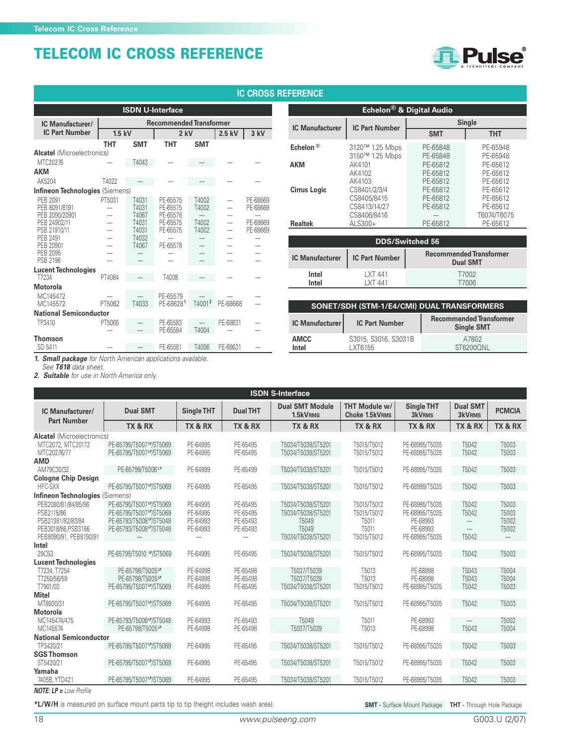

#### **THT SMT THT SMT Alcatel** (Microelectronics)  $MTC20276$   $T4043$   $-$ **AKM** AK5204 T4022 — — — — — **Infineon Technologies** (Siemens)<br>PEB 2091 PT5031 PEB 2091 PT5031 T4031 PE-65575 T4002 — PE-68669 PEB 8091/8191 — T4031 PE-65575 T4002 — PE-68669 PEB 2090/20901 – T4067 PE-65578 – – – –<br>PEB 24902/11 – T4031 PE-65575 T4002 – PE-68669<br>PSB 21910/11 – T4031 PE-65575 T4002 – PE-68669 PEB 24902/11 — T4031 PE-65575 T4002 — PE-68669 PSB 21910/11 — T4031 PE-65575 T4002 — PE-68669 PEB 2491 — T4032 — — — — PEB 20901 — T4067 PE-65578 — — — PEB 2095 — — — — — — PSB 2196 — — — — — — **Lucent Technologies** T7234 PT4084 — T4008 — — — **Motorola** MC145472 — — PE-65579<br>MC145572 PT5062 T4033 PE-686281 MC145572 PT5062 T4033 PE-68628**<sup>1</sup>** T4001**<sup>2</sup>** PE-68668 — **National Semiconductor** TP3410 PT5065 — PE-65583 — PE-68631 — PE-65584 **Thomson ISDN U-Interface IC Manufacturer/ Recommended Transformer IC Part Number 1.5 kV 2 kV 2.5 kV 3 kV IC CROSS REFERENCE**

PE-65581 T4006 PE-68631 —

|                        |                                                            | Echelon <sup>®</sup> & Digital Audio |                                                 |  |  |  |  |  |
|------------------------|------------------------------------------------------------|--------------------------------------|-------------------------------------------------|--|--|--|--|--|
| <b>IC Manufacturer</b> | <b>IC Part Number</b>                                      | <b>Single</b>                        |                                                 |  |  |  |  |  |
|                        |                                                            | <b>SMT</b>                           | <b>THT</b>                                      |  |  |  |  |  |
| Echelon <sup>®</sup>   | 3120™ 1.25 Mbps<br>3150™ 1.25 Mbps                         | PE-65848<br>PE-65848                 | PE-65948<br>PE-65948                            |  |  |  |  |  |
| <b>AKM</b>             | AK4101<br>AK4102<br>AK4103                                 | PE-65812<br>PE-65812<br>PE-65812     | PE-65612<br>PE-65612<br>PE-65612                |  |  |  |  |  |
| <b>Cirrus Logic</b>    | CS8401/2/3/4<br>CS8405/8415<br>CS8413/14/27<br>CS8406/8416 | PE-65812<br>PE-65812<br>PE-65812     | PE-65612<br>PE-65612<br>PE-65612<br>T6074/T6075 |  |  |  |  |  |
| <b>Realtek</b>         | ALS300+                                                    | PE-65812                             | PE-65612                                        |  |  |  |  |  |

| <b>DDS/Switched 56</b> |                      |                                                   |  |  |  |  |  |  |  |
|------------------------|----------------------|---------------------------------------------------|--|--|--|--|--|--|--|
| <b>IC Manufacturer</b> | IC Part Number       | <b>Recommended Transformer</b><br><b>Dual SMT</b> |  |  |  |  |  |  |  |
| Intel<br>Intel         | I XT 441<br>I XT 441 | T7002<br>T7006                                    |  |  |  |  |  |  |  |

| SONET/SDH (STM-1/E4/CMI) DUAL TRANSFORMERS |                                  |                                                     |  |  |  |  |  |  |  |
|--------------------------------------------|----------------------------------|-----------------------------------------------------|--|--|--|--|--|--|--|
| <b>IC Manufacturer</b>                     | <b>IC Part Number</b>            | <b>Recommended Transformer</b><br><b>Single SMT</b> |  |  |  |  |  |  |  |
| AMCC<br>Intel                              | S3015, S3016, S3031B<br>I XT6155 | A7802<br>ST6200ONL                                  |  |  |  |  |  |  |  |

**1. Small package** for North American applications available.

See **T618** data sheet.

**2. Suitable** for use in North America only.

| <b>ISDN S-Interface</b>                                                                                                                   |                                                                                                          |                                              |                                              |                                                                                              |                                                             |                                                                            |                                  |                                                       |  |  |  |
|-------------------------------------------------------------------------------------------------------------------------------------------|----------------------------------------------------------------------------------------------------------|----------------------------------------------|----------------------------------------------|----------------------------------------------------------------------------------------------|-------------------------------------------------------------|----------------------------------------------------------------------------|----------------------------------|-------------------------------------------------------|--|--|--|
| IC Manufacturer/                                                                                                                          | <b>Dual SMT</b>                                                                                          | <b>Single THT</b>                            | <b>Dual THT</b>                              | <b>Dual SMT Module</b><br>1.5kVRMS                                                           | THT Module w/<br><b>Choke 1.5kVRMS</b>                      | <b>Single THT</b><br><b>3kVRMS</b>                                         | <b>Dual SMT</b><br><b>3kVRMS</b> | <b>PCMCIA</b>                                         |  |  |  |
| <b>Part Number</b>                                                                                                                        | TX & RX                                                                                                  | TX & RX                                      | TX & RX                                      | TX & RX                                                                                      | TX & RX                                                     | TX & RX                                                                    | TX & RX                          | TX & RX                                               |  |  |  |
| <b>Alcatel</b> (Microelectronics)<br>PE-65795/T5007 "/ST5069<br>MTC2072, MTC20172<br>MTC20276/77<br>PE-65795/T5007 "/ST5069<br><b>AMD</b> |                                                                                                          | PE-64995<br>PE-64995                         | PE-65495<br>PE-65495                         | T5034/T5038/ST5201<br>T5034/T5038/ST5201                                                     | T5015/T5012<br>T5015/T5012                                  | PE-68995/T5035<br>PE-68995/T5035                                           | T5042<br>T5042                   | T5003<br>T5003                                        |  |  |  |
| AM79C30/32                                                                                                                                | PE-65799/T5006 <sup>LP</sup>                                                                             | PE-64999                                     | PE-65499                                     | T5034/T5038/ST5201                                                                           | T5015/T5012                                                 | PE-68995/T5035                                                             | T5042                            | T5003                                                 |  |  |  |
| <b>Cologne Chip Design</b><br>HFC-SXX                                                                                                     | PE-65795/T5007 P/ST5069                                                                                  | PE-64995                                     | PE-65495                                     | T5034/T5038/ST5201                                                                           | T5015/T5012                                                 | PE-68999/T5035                                                             | T5042                            | T5003                                                 |  |  |  |
| <b>Infineon Technologies (Siemens)</b>                                                                                                    |                                                                                                          |                                              |                                              |                                                                                              |                                                             |                                                                            |                                  |                                                       |  |  |  |
| PEB2080/81/84/85/86<br>PSB2115/86<br>PSB21381/82/83/84<br>PEB3018/86.PSB3186<br>PEB8090/91, PEB8190/91                                    | PE-65795/T5007 "/ST5069<br>PE-65795/T5007 P/ST5069<br>PE-65793/T5008 "/ST5048<br>PE-65793/T5008 P/ST5048 | PE-64995<br>PE-64995<br>PE-64993<br>PE-64993 | PE-65495<br>PE-65495<br>PE-65493<br>PE-65493 | T5034/T5038/ST5201<br>T5034/T5038/ST5201<br>T5049<br>T <sub>5049</sub><br>T5034/T5038/ST5201 | T5015/T5012<br>T5015/T5012<br>T5011<br>T5011<br>T5015/T5012 | PE-68995/T5035<br>PE-68995/T5035<br>PE-68993<br>PE-68993<br>PE-68995/T5035 | T5042<br>T5042<br>T5042          | T5003<br>T5003<br>T5002<br>T5002<br>$\qquad \qquad -$ |  |  |  |
| Intel                                                                                                                                     |                                                                                                          |                                              |                                              |                                                                                              |                                                             |                                                                            |                                  |                                                       |  |  |  |
| 29C53                                                                                                                                     | PE-65795/T5010 M/ST5069                                                                                  | PE-64995                                     | PE-65495                                     | T5034/T5038/ST5201                                                                           | T5015/T5012                                                 | PE-68995/T5035                                                             | T5042                            | T5003                                                 |  |  |  |
| <b>Lucent Technologies</b><br>T7234, T7254<br>T7250/56/59<br>T7901/03                                                                     | PE-65798/T5005LP<br>PE-65798/T5005LP<br>PE-65795/T5007 P/ST5069                                          | PE-64998<br>PE-64998<br>PE-64995             | PE-65498<br>PE-65498<br>PE-65495             | T5037/T5039<br>T5037/T5039<br>T5034/T5038/ST5201                                             | T5013<br>T5013<br>T5015/T5012                               | PE-68998<br>PE-68998<br>PE-68995/T5035                                     | T5043<br>T5043<br>T5042          | T5004<br>T5004<br>T5003                               |  |  |  |
| <b>Mitel</b>                                                                                                                              |                                                                                                          |                                              |                                              |                                                                                              |                                                             |                                                                            |                                  |                                                       |  |  |  |
| MT8930/31                                                                                                                                 | PE-65795/T5007 P/ST5069                                                                                  | PE-64995                                     | PE-65495                                     | T5034/T5038/ST5201                                                                           | T5015/T5012                                                 | PE-68995/T5035                                                             | T5042                            | T5003                                                 |  |  |  |
| <b>Motorola</b><br>MC145474/475<br>MC145574                                                                                               | PE-65793/T5008 M/ST5048<br>PE-65798/T5005LP                                                              | PE-64993<br>PE-64998                         | PE-65493<br>PE-65498                         | T5049<br>T5037/T5039                                                                         | T5011<br>T5013                                              | PE-68993<br>PE-68998                                                       | T5043                            | T5002<br>T5004                                        |  |  |  |
| <b>National Semiconductor</b>                                                                                                             |                                                                                                          |                                              |                                              |                                                                                              |                                                             |                                                                            |                                  |                                                       |  |  |  |
| TP3420/21                                                                                                                                 | PE-65795/T5007 "/ST5069                                                                                  | PE-64995                                     | PE-65495                                     | T5034/T5038/ST5201                                                                           | T5015/T5012                                                 | PE-68995/T5035                                                             | T5042                            | T5003                                                 |  |  |  |
| <b>SGS Thomson</b><br>ST5420/21                                                                                                           | PE-65795/T5007 "/ST5069                                                                                  | PE-64995                                     | PE-65495                                     | T5034/T5038/ST5201                                                                           | T5015/T5012                                                 | PE-68995/T5035                                                             | T5042                            | T5003                                                 |  |  |  |
| Yamaha<br>7405B, YTD421                                                                                                                   | PE-65795/T5007 "/ST5069                                                                                  | PE-64995                                     | PE-65495                                     | T5034/T5038/ST5201                                                                           | T5015/T5012                                                 | PE-68995/T5035                                                             | T5042                            | T5003                                                 |  |  |  |

**NOTE: LP =** Low Profile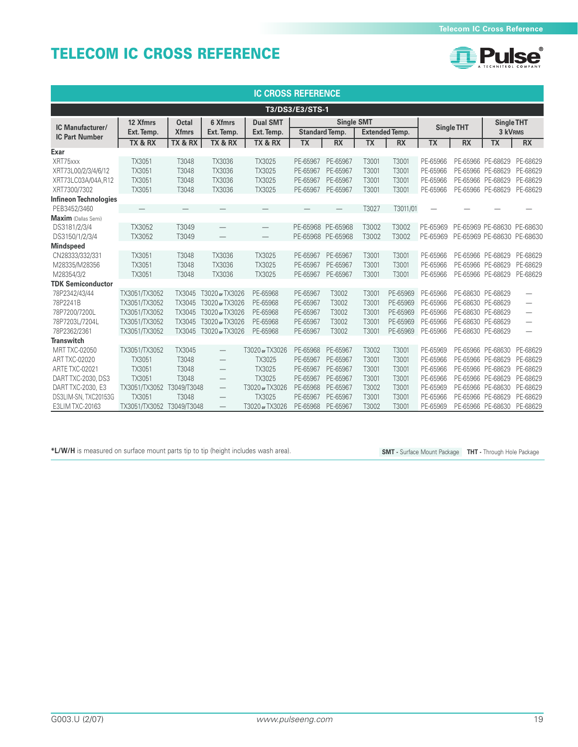

| <b>IC CROSS REFERENCE</b>              |                          |              |                   |                          |                   |                       |                   |                       |                   |           |                            |                                 |
|----------------------------------------|--------------------------|--------------|-------------------|--------------------------|-------------------|-----------------------|-------------------|-----------------------|-------------------|-----------|----------------------------|---------------------------------|
| T3/DS3/E3/STS-1                        |                          |              |                   |                          |                   |                       |                   |                       |                   |           |                            |                                 |
| IC Manufacturer/                       | 12 Xfmrs                 | <b>Octal</b> | 6 Xfmrs           | <b>Dual SMT</b>          |                   |                       | <b>Single SMT</b> |                       | <b>Single THT</b> |           | <b>Single THT</b>          |                                 |
| <b>IC Part Number</b>                  | Ext. Temp.               | <b>Xfmrs</b> | Ext. Temp.        | Ext. Temp.               |                   | <b>Standard Temp.</b> |                   | <b>Extended Temp.</b> |                   |           | 3 kVRMS                    |                                 |
| Exar                                   | TX & RX                  | TX & RX      | TX & RX           | TX & RX                  | <b>TX</b>         | <b>RX</b>             | <b>TX</b>         | <b>RX</b>             | <b>TX</b>         | <b>RX</b> | <b>TX</b>                  | <b>RX</b>                       |
| XRT75xxx                               | TX3051                   | T3048        | TX3036            | TX3025                   | PE-65967          | PE-65967              | T3001             | T3001                 | PE-65966          |           | PE-65966 PE-68629          | PE-68629                        |
| XRT73L00/2/3/4/6/12                    | TX3051                   | T3048        | TX3036            | TX3025                   | PE-65967          | PE-65967              | T3001             | T3001                 | PE-65966          | PE-65966  | PE-68629                   | PE-68629                        |
| XRT73LC03A/04A.R12                     | TX3051                   | T3048        | TX3036            | TX3025                   | PE-65967          | PE-65967              | T3001             | T3001                 | PE-65966          | PE-65966  | PE-68629                   | PE-68629                        |
| XRT7300/7302                           | TX3051                   | T3048        | TX3036            | TX3025                   | PE-65967          | PE-65967              | T3001             | T3001                 | PE-65966          | PE-65966  | PE-68629                   | PE-68629                        |
| <b>Infineon Technologies</b>           |                          |              |                   |                          |                   |                       |                   |                       |                   |           |                            |                                 |
| PEB3452/3460                           | $\overline{\phantom{0}}$ |              |                   |                          |                   |                       | T3027             | T3011/01              |                   |           |                            |                                 |
| <b>Maxim</b> (Dallas Semi)             |                          |              |                   |                          |                   |                       |                   |                       |                   |           |                            |                                 |
| DS3181/2/3/4                           | TX3052                   | T3049        |                   | $\overline{\phantom{0}}$ | PE-65968 PE-65968 |                       | T3002             | T3002                 | PE-65969          |           | PE-65969 PE-68630 PE-68630 |                                 |
| DS3150/1/2/3/4                         | TX3052                   | T3049        |                   | $\overline{\phantom{0}}$ | PE-65968 PE-65968 |                       | T3002             | T3002                 | PE-65969          |           | PE-65969 PE-68630 PE-68630 |                                 |
| <b>Mindspeed</b>                       |                          |              |                   |                          |                   |                       |                   |                       |                   |           |                            |                                 |
| CN28333/332/331                        | TX3051                   | T3048        | TX3036            | TX3025                   | PE-65967          | PE-65967              | T3001             | T3001                 | PE-65966          | PE-65966  | PE-68629                   | PE-68629                        |
| M28335/M28356                          | TX3051                   | T3048        | TX3036            | TX3025                   | PE-65967          | PE-65967              | T3001             | T3001                 | PE-65966          | PE-65966  | PE-68629                   | PE-68629                        |
| M28354/3/2<br><b>TDK Semiconductor</b> | TX3051                   | T3048        | TX3036            | TX3025                   | PE-65967          | PE-65967              | T3001             | T3001                 | PE-65966          |           | PE-65966 PE-68629          | PE-68629                        |
| 78P2342/43/44                          | TX3051/TX3052            | TX3045       | T3020 or TX3026   | PE-65968                 | PE-65967          | T3002                 | T3001             | PE-65969              | PE-65966          | PE-68630  | PE-68629                   | $\overline{\phantom{0}}$        |
| 78P2241B                               | TX3051/TX3052            | TX3045       | T3020 or TX3026   | PE-65968                 | PE-65967          | T3002                 | T3001             | PE-65969              | PE-65966          | PE-68630  | PE-68629                   | $\overbrace{\phantom{1232211}}$ |
| 78P7200/7200L                          | TX3051/TX3052            | TX3045       | T3020 or TX3026   | PE-65968                 | PE-65967          | T3002                 | T3001             | PE-65969              | PE-65966          | PE-68630  | PE-68629                   | $\overline{\phantom{0}}$        |
| 78P7203L/7204L                         | TX3051/TX3052            | TX3045       | T3020 or TX3026   | PE-65968                 | PE-65967          | T3002                 | T3001             | PE-65969              | PE-65966          | PE-68630  | PE-68629                   | $\overline{\phantom{0}}$        |
| 78P2362/2361                           | TX3051/TX3052            | TX3045       | T3020 or TX3026   | PE-65968                 | PE-65967          | T3002                 | T3001             | PE-65969              | PE-65966          | PE-68630  | PE-68629                   |                                 |
| <b>Transwitch</b>                      |                          |              |                   |                          |                   |                       |                   |                       |                   |           |                            |                                 |
| <b>MRT TXC-02050</b>                   | TX3051/TX3052            | TX3045       |                   | T3020 or TX3026          | PE-65968          | PE-65967              | T3002             | T3001                 | PE-65969          | PE-65966  | PE-68630                   | PE-68629                        |
| <b>ART TXC-02020</b>                   | TX3051                   | T3048        | $\qquad \qquad$   | TX3025                   | PE-65967          | PE-65967              | T3001             | T3001                 | PE-65966          | PE-65966  | PE-68629                   | PE-68629                        |
| ARTE TXC-02021                         | TX3051                   | T3048        |                   | TX3025                   | PE-65967          | PE-65967              | T3001             | T3001                 | PE-65966          | PE-65966  | PE-68629                   | PE-68629                        |
| DART TXC-2030, DS3                     | TX3051                   | T3048        | $\qquad \qquad -$ | TX3025                   | PE-65967          | PE-65967              | T3001             | T3001                 | PE-65966          | PE-65966  | PE-68629                   | PE-68629                        |
| DART TXC-2030, E3                      | TX3051/TX3052            | T3049/T3048  |                   | T3020 or TX3026          | PE-65968          | PE-65967              | T3002             | T3001                 | PE-65969          | PE-65966  | PE-68630                   | PE-68629                        |
| DS3LIM-SN, TXC20153G                   | TX3051                   | T3048        |                   | TX3025                   | PE-65967          | PE-65967              | T3001             | T3001                 | PE-65966          | PE-65966  | PE-68629                   | PE-68629                        |
| E3LIM TXC-20163                        | TX3051/TX3052            | T3049/T3048  |                   | T3020 or TX3026          | PE-65968          | PE-65967              | T3002             | T3001                 | PE-65969          |           | PE-65966 PE-68630          | PE-68629                        |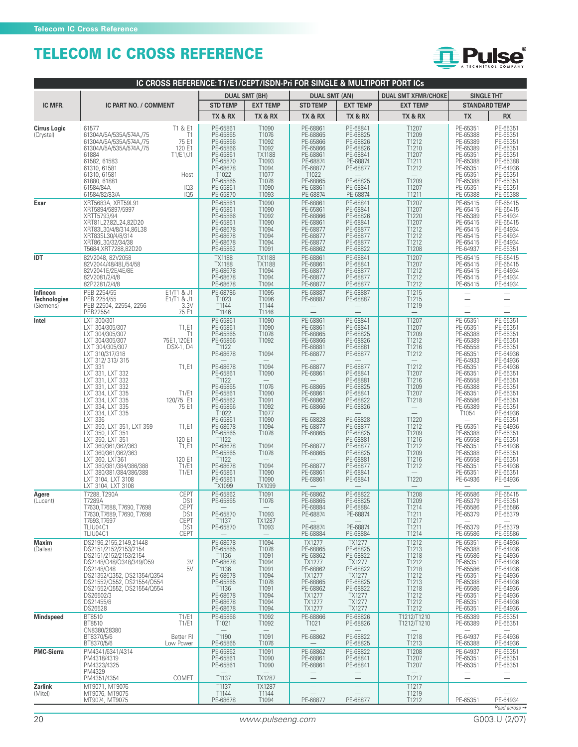

| IC CROSS REFERENCE: T1/E1/CEPT/ISDN-Pri FOR SINGLE & MULTIPORT PORT ICs |                                                                                                                                                                                                                                                                     |                                                         |                                                                                                                                   |                                                                                                 |                                                                                                                                                       |                                                                                                                                                                     |                                                                                                           |                                                                                                                                              |                                                                                                                                              |  |  |
|-------------------------------------------------------------------------|---------------------------------------------------------------------------------------------------------------------------------------------------------------------------------------------------------------------------------------------------------------------|---------------------------------------------------------|-----------------------------------------------------------------------------------------------------------------------------------|-------------------------------------------------------------------------------------------------|-------------------------------------------------------------------------------------------------------------------------------------------------------|---------------------------------------------------------------------------------------------------------------------------------------------------------------------|-----------------------------------------------------------------------------------------------------------|----------------------------------------------------------------------------------------------------------------------------------------------|----------------------------------------------------------------------------------------------------------------------------------------------|--|--|
|                                                                         |                                                                                                                                                                                                                                                                     |                                                         |                                                                                                                                   | <b>DUAL SMT (BH)</b>                                                                            | <b>DUAL SMT (AN)</b>                                                                                                                                  |                                                                                                                                                                     | <b>DUAL SMT XFMR/CHOKE</b>                                                                                | <b>SINGLE THT</b>                                                                                                                            |                                                                                                                                              |  |  |
| IC MFR.                                                                 | IC PART NO. / COMMENT                                                                                                                                                                                                                                               |                                                         | <b>STD TEMP</b>                                                                                                                   | <b>EXT TEMP</b>                                                                                 | <b>STD TEMP</b>                                                                                                                                       | <b>EXT TEMP</b>                                                                                                                                                     | <b>EXT TEMP</b>                                                                                           | <b>STANDARD TEMP</b>                                                                                                                         |                                                                                                                                              |  |  |
| <b>Cirrus Logic</b><br>(Crystal)                                        | 61577<br>61304A/5A/535A/574A,/75<br>61304A/5A/535A/574A,/75<br>61304A/5A/535A/574A,/75                                                                                                                                                                              | T1 & E1<br>T1<br>75 E1<br>120 E1                        | TX & RX<br>PE-65861<br>PE-65865<br>PE-65866<br>PE-65866                                                                           | TX & RX<br>T1090<br>T1076<br>T1092<br>T1092                                                     | TX & RX<br>PE-68861<br>PE-68865<br>PE-65866<br>PE-65866                                                                                               | TX & RX<br>PE-68841<br>PE-68825<br>PE-68826<br>PE-68826                                                                                                             | TX & RX<br>T1207<br>T1209<br>T1212<br>T1210                                                               | <b>TX</b><br>PE-65351<br>PE-65388<br>PE-65389<br>PE-65389                                                                                    | <b>RX</b><br>PE-65351<br>PE-65351<br>PE-65351<br>PE-65351                                                                                    |  |  |
|                                                                         | 61884<br>61582, 61583<br>61310, 61581<br>61310, 61581<br>61880, 61881<br>61584/84A<br>61584/82/83/A                                                                                                                                                                 | T1/E1/J1<br>Host<br>103<br>105                          | PE-65861<br>PE-65870<br>PE-68678<br>T1022<br>PE-65865<br>PE-65861<br>PE-65870                                                     | <b>TX1188</b><br>T1093<br>T1094<br>T1077<br>T1076<br>T1090<br>T1093                             | PE-68861<br>PE-68874<br>PE-68877<br>T1022<br>PE-68865<br>PE-68861<br>PE-68874                                                                         | PE-68841<br>PE-68874<br>PE-68877<br>PE-68825<br>PE-68841<br>PE-68874                                                                                                | T1207<br>T1211<br>T1212<br>T1209<br>T1207<br>T1211                                                        | PE-65351<br>PE-65388<br>PE-65351<br>PE-65351<br>PE-65388<br>PE-65351<br>PE-65388                                                             | PE-65351<br>PE-65388<br>PE-64936<br>PE-65351<br>PE-65351<br>PE-65351<br>PE-65388                                                             |  |  |
| Exar                                                                    | XRT5683A, XRT59L91<br>XRT5894/5897/5997<br>XRTT5793/94<br>XRT81L27,82L24,82D20<br>XRT83L30/4/8/314,86L38<br>XRT83SL30/4/8/314<br>XRT86L30/32/34/38<br>T5684, XRT7288, 82D20                                                                                         |                                                         | PE-65861<br>PE-65861<br>PE-65866<br>PE-65861<br>PE-68678<br>PE-68678<br>PE-68678<br>PE-65862                                      | T1090<br>T1090<br>T1092<br>T1090<br>T1094<br>T1094<br>T1094<br>T1091                            | PE-68861<br>PE-65861<br>PE-68866<br>PE-68861<br>PE-68877<br>PE-68877<br>PE-68877<br>PE-68862                                                          | PE-68841<br>PE-68841<br>PE-68826<br>PE-68841<br>PE-68877<br>PE-68877<br>PE-68877<br>PE-68822                                                                        | T1207<br>T1207<br>T1220<br>T1207<br>T1212<br>T1212<br>T1212<br>T1208                                      | PE-65415<br>PE-65415<br>PE-65389<br>PE-65415<br>PE-65415<br>PE-65415<br>PE-65415<br>PE-64937                                                 | PE-65415<br>PE-65415<br>PE-64934<br>PE-65415<br>PE-64934<br>PE-64934<br>PE-64934<br>PE-65351                                                 |  |  |
| IDT                                                                     | 82V2048, 82V2058<br>82V2044/48/48L/54/58<br>82V2041E/2E/4E/8E<br>82V2081/2/4/8<br>82P2281/2/4/8                                                                                                                                                                     |                                                         | <b>TX1188</b><br><b>TX1188</b><br>PE-68678<br>PE-68678<br>PE-68678                                                                | <b>TX1188</b><br><b>TX1188</b><br>T1094<br>T1094<br>T1094                                       | PE-68861<br>PE-68861<br>PE-68877<br>PE-68877<br>PE-68877                                                                                              | PE-68841<br>PE-68841<br>PE-68877<br>PE-68877<br>PE-68877                                                                                                            | T1207<br>T1207<br>T1212<br>T1212<br>T1212                                                                 | PE-65415<br>PE-65415<br>PE-65415<br>PE-65415<br>PE-65415                                                                                     | PE-65415<br>PE-65415<br>PE-64934<br>PE-64934<br>PE-64934                                                                                     |  |  |
| Infineon<br><b>Technologies</b><br>(Siemens)                            | PEB 2254/55<br>PEB 2254/55<br>PEB 22504, 22554, 2256<br>PEB22554                                                                                                                                                                                                    | E1/T1 & J1<br>E1/T1 & J1<br>3.3V<br>75 E1               | PE-68786<br>T1023<br>T1144<br>T1146                                                                                               | T1095<br>T1096<br>T1144<br>T1146                                                                | PE-68887<br>PE-68887                                                                                                                                  | PE-68887<br>PE-68887                                                                                                                                                | T1215<br>T1215<br>T1219                                                                                   |                                                                                                                                              |                                                                                                                                              |  |  |
| Intel                                                                   | LXT 300/301<br>LXT 304/305/307<br>LXT 304/305/307<br>LXT 304/305/307<br>LXT 304/305/307<br>LXT 310/317/318<br>LXT 312/313/315                                                                                                                                       | T1,E1<br>T1<br>75E1,120E1<br><b>DSX-1, D4</b>           | PE-65861<br>PE-65861<br>PE-65865<br>PE-65866<br>T1122<br>PE-68678                                                                 | T1090<br>T1090<br>T1076<br>T1092<br>T1094                                                       | PE-68861<br>PE-68861<br>PE-68865<br>PE-68866<br>PE-68881<br>PE-68877                                                                                  | PE-68841<br>PE-68841<br>PE-68825<br>PE-68826<br>PE-68881<br>PE-68877                                                                                                | T1207<br>T1207<br>T1209<br>T1212<br>T1216<br>T1212                                                        | PE-65351<br>PE-65351<br>PE-65388<br>PE-65389<br>PE-65558<br>PE-65351<br>PE-64933                                                             | PE-65351<br>PE-65351<br>PE-65351<br>PE-65351<br>PE-65351<br>PE-64936<br>PE-64936                                                             |  |  |
|                                                                         | <b>LXT 331</b><br>LXT 331, LXT 332<br>LXT 331, LXT 332<br>LXT 331, LXT 332<br>LXT 334, LXT 335<br>LXT 334, LXT 335<br>LXT 334, LXT 335                                                                                                                              | T1,E1<br>T1/E1<br>120/75 E1<br>75 E1                    | PE-68678<br>PE-65861<br>T1122<br>PE-65865<br>PE-65861<br>PE-65862<br>PE-65866                                                     | T1094<br>T1090<br>T1076<br>T1090<br>T1091<br>T1092                                              | PE-68877<br>PE-68861<br>PE-68865<br>PE-68861<br>PE-68862<br>PE-68866                                                                                  | PE-68877<br>PE-68841<br>PE-68881<br>PE-68825<br>PE-68841<br>PE-68822<br>PE-68826                                                                                    | T1212<br>T1207<br>T1216<br>T1209<br>T1207<br>T1218                                                        | PE-65351<br>PE-65351<br>PE-65558<br>PE-65388<br>PE-65351<br>PE-65586<br>PE-65389                                                             | PE-64936<br>PE-65351<br>PE-65351<br>PE-65351<br>PE-65351<br>PE-65351<br>PE-65351                                                             |  |  |
|                                                                         | LXT 334, LXT 335<br>LXT 336<br>LXT 350, LXT 351, LXT 359<br>LXT 350, LXT 351<br>LXT 350, LXT 351<br>LXT 360/361/362/363<br>LXT 360/361/362/363<br>LXT 360, LXT361<br>LXT 380/381/384/386/388<br>LXT 380/381/384/386/388<br>LXT 3104, LXT 3108<br>LXT 3104, LXT 3108 | T1,E1<br>120 E1<br>T1,E1<br>120 E1<br>T1/E1<br>T1/E1    | T1022<br>PE-65861<br>PE-68678<br>PE-65865<br>T1122<br>PE-68678<br>PE-65865<br>T1122<br>PE-68678<br>PE-65861<br>PE-65861<br>TX1099 | T1077<br>T1090<br>T1094<br>T1076<br>T1094<br>T1076<br>T1094<br>T1090<br>T1090<br>TX1099         | PE-68828<br>PE-68877<br>PE-68865<br>PE-68877<br>PE-68865<br>PE-68877<br>PE-68861<br>PE-68861                                                          | PE-68828<br>PE-68877<br>PE-68825<br>PE-68881<br>PE-68877<br>PE-68825<br>PE-68881<br>PE-68877<br>PE-68841<br>PE-68841                                                | T1220<br>T1212<br>T1209<br>T1216<br>T1212<br>T1209<br>T1216<br>T1212<br>$\overline{\phantom{a}}$<br>T1220 | T1054<br>PE-65351<br>PE-65388<br>PE-65558<br>PE-65351<br>PE-65388<br>PE-65558<br>PE-65351<br>PE-65351<br>PE-64936                            | PE-64936<br>PE-65351<br>PE-64936<br>PE-65351<br>PE-65351<br>PE-64936<br>PE-65351<br>PE-65351<br>PE-64936<br>PE-65351<br>PE-64936             |  |  |
| Agere<br>(Lucent)                                                       | T7288, T290A<br>17289A<br>T7630, T7688, T7690, T7698<br>T7630, T7689, T7690, T7698<br>T7693,T7697<br>TLIU04C1                                                                                                                                                       | CEPT<br>DS1<br><b>CEPT</b><br>DS1<br><b>CEPT</b><br>DS1 | PE-65862<br>PE-65865<br>PE-65870<br>T1137<br>PE-65870                                                                             | T1091<br>110/6<br>T1093<br><b>TX1287</b><br>T1093                                               | PE-68862<br><b>PE-68865</b><br>PE-68884<br>PE-68874<br>PE-68874                                                                                       | PE-68822<br>PE-68825<br>PE-68884<br>PE-68874<br>PE-68874                                                                                                            | T1208<br>11209<br>T1214<br>T1211<br>T1217<br>T1211                                                        | PE-65586<br>PE-69379<br>PE-65586<br>PE-65379<br>PE-65379                                                                                     | PE-65415<br>PE-65351<br>PE-65586<br>PE-65379<br>PE-65379                                                                                     |  |  |
| Maxim<br>(Dallas)                                                       | TLIU04C1<br>DS2196,2155,2149,21448<br>DS2151/2152/2153/2154<br>DS2151/2152/2153/2154<br>DS2148/Q48/Q348/349/Q59<br>DS2148/Q48<br>DS21352/Q352, DS21354/Q354<br>DS21552/Q552, DS21554/Q554<br>DS21552/Q552, DS21554/Q554<br>DS26502/3<br>DS21455/8<br>DS26528        | <b>CEPT</b><br>3V<br>5V                                 | PE-68678<br>PE-65865<br>T1136<br>PE-68678<br>T1136<br>PE-68678<br>PE-65865<br>T1136<br>PE-68678<br>PE-68678<br>PE-68678           | T1094<br>T1076<br>T1091<br>T1094<br>T1091<br>T1094<br>T1076<br>T1091<br>T1094<br>T1094<br>T1094 | PE-68884<br>TX1277<br>PE-68865<br>PE-68862<br><b>TX1277</b><br>PE-68862<br>TX1277<br>PE-68865<br>PE-68862<br>TX1277<br><b>TX1277</b><br><b>TX1277</b> | PE-68884<br><b>TX1277</b><br>PE-68825<br>PE-68822<br><b>TX1277</b><br>PE-68822<br>TX1277<br>PE-68825<br>PE-68822<br><b>TX1277</b><br><b>TX1277</b><br><b>TX1277</b> | T1214<br>T1212<br>T1213<br>T1218<br>T1212<br>T1218<br>T1212<br>T1213<br>T1218<br>T1212<br>T1212<br>T1212  | PE-65586<br>PE-65351<br>PE-65388<br>PE-65586<br>PE-65351<br>PE-65586<br>PE-65351<br>PE-65388<br>PE-65586<br>PE-65351<br>PE-65351<br>PE-65351 | PE-65586<br>PE-64936<br>PE-64936<br>PE-64936<br>PE-64936<br>PE-64936<br>PE-64936<br>PE-64936<br>PE-64936<br>PE-64936<br>PE-64936<br>PE-64936 |  |  |
| <b>Mindspeed</b>                                                        | BT8510<br>BT8510<br>CN8380/28380<br>BT8370/5/6                                                                                                                                                                                                                      | T1/E1<br>T1/E1<br>Better RI                             | PE-65866<br>T1021<br>T1190                                                                                                        | T1092<br>T1092<br>T1091                                                                         | PE-68866<br>T <sub>1021</sub><br>PE-68862                                                                                                             | PE-68826<br>PE-68826<br>PE-68822                                                                                                                                    | T1212/T1210<br>T1212/T1210<br>T1218                                                                       | PE-65389<br>PE-65389<br>PE-64937                                                                                                             | PE-65351<br>PE-65351<br>PE-64936                                                                                                             |  |  |
| <b>PMC-Sierra</b>                                                       | BT8370/5/6<br>PM4341/6341/4314<br>PM4318/4319<br>PM4323/4325<br>PM4329                                                                                                                                                                                              | Low Power                                               | PE-65865<br>PE-65862<br>PE-65861<br>PE-65861                                                                                      | T1076<br>T1091<br>T1090<br>T1090                                                                | PE-68862<br>PE-68861<br>PE-68861                                                                                                                      | PE-68825<br>PE-68822<br>PE-68841<br>PE-68841                                                                                                                        | T1213<br>T1208<br>T1207<br>T1207                                                                          | PE-65388<br>PE-64937<br>PE-65351<br>PE-65351                                                                                                 | PE-64936<br>PE-65351<br>PE-65351<br>PE-65351                                                                                                 |  |  |
| Zarlink<br>(Mitel)                                                      | PM4351/4354<br>MT9071, MT9076<br>MT9076, MT9075<br>MT9074, MT9075                                                                                                                                                                                                   | COMET                                                   | T1137<br>T1137<br>T1144<br>PE-68678                                                                                               | <b>TX1287</b><br><b>TX1287</b><br>T1144<br>T1094                                                | PE-68877                                                                                                                                              | PE-68877                                                                                                                                                            | T1217<br>T1217<br>T1219<br>T1212                                                                          | PE-65351                                                                                                                                     | PE-64934                                                                                                                                     |  |  |

Read across  $\rightarrow$